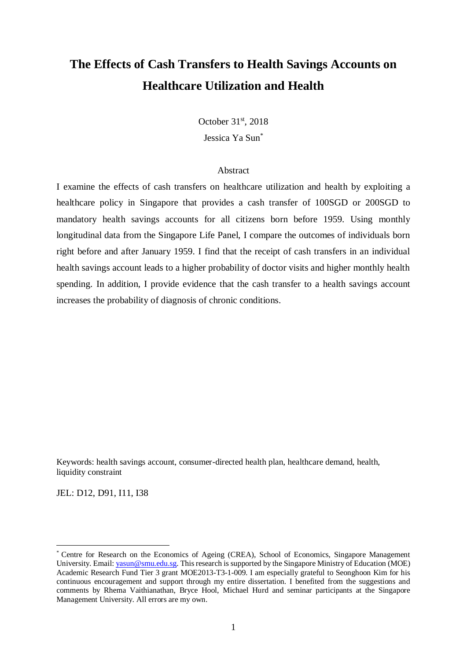# **The Effects of Cash Transfers to Health Savings Accounts on Healthcare Utilization and Health**

October 31st, 2018 Jessica Ya Sun\*

#### Abstract

I examine the effects of cash transfers on healthcare utilization and health by exploiting a healthcare policy in Singapore that provides a cash transfer of 100SGD or 200SGD to mandatory health savings accounts for all citizens born before 1959. Using monthly longitudinal data from the Singapore Life Panel, I compare the outcomes of individuals born right before and after January 1959. I find that the receipt of cash transfers in an individual health savings account leads to a higher probability of doctor visits and higher monthly health spending. In addition, I provide evidence that the cash transfer to a health savings account increases the probability of diagnosis of chronic conditions.

Keywords: health savings account, consumer-directed health plan, healthcare demand, health, liquidity constraint

JEL: D12, D91, I11, I38

Centre for Research on the Economics of Ageing (CREA), School of Economics, Singapore Management University. Email[: yasun@smu.edu.sg.](mailto:yasun@smu.edu.sg) This research is supported by the Singapore Ministry of Education (MOE) Academic Research Fund Tier 3 grant MOE2013-T3-1-009. I am especially grateful to Seonghoon Kim for his continuous encouragement and support through my entire dissertation. I benefited from the suggestions and comments by Rhema Vaithianathan, Bryce Hool, Michael Hurd and seminar participants at the Singapore Management University. All errors are my own.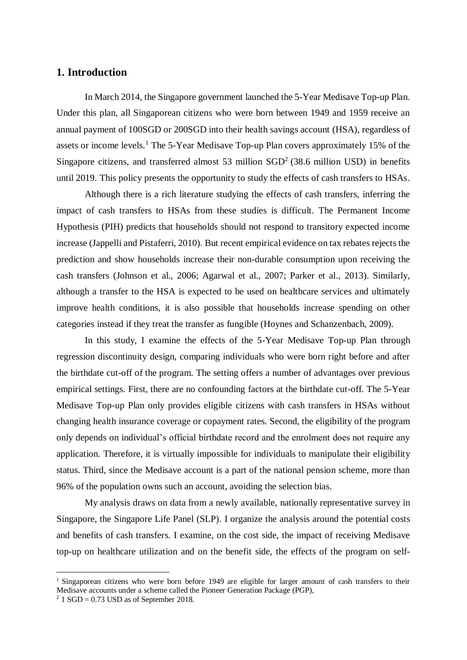# **1. Introduction**

In March 2014, the Singapore government launched the 5-Year Medisave Top-up Plan. Under this plan, all Singaporean citizens who were born between 1949 and 1959 receive an annual payment of 100SGD or 200SGD into their health savings account (HSA), regardless of assets or income levels.<sup>1</sup> The 5-Year Medisave Top-up Plan covers approximately 15% of the Singapore citizens, and transferred almost 53 million  $SGD<sup>2</sup>$  (38.6 million USD) in benefits until 2019. This policy presents the opportunity to study the effects of cash transfers to HSAs.

Although there is a rich literature studying the effects of cash transfers, inferring the impact of cash transfers to HSAs from these studies is difficult. The Permanent Income Hypothesis (PIH) predicts that households should not respond to transitory expected income increase (Jappelli and Pistaferri, 2010). But recent empirical evidence on tax rebates rejects the prediction and show households increase their non-durable consumption upon receiving the cash transfers (Johnson et al., 2006; Agarwal et al., 2007; Parker et al., 2013). Similarly, although a transfer to the HSA is expected to be used on healthcare services and ultimately improve health conditions, it is also possible that households increase spending on other categories instead if they treat the transfer as fungible (Hoynes and Schanzenbach, 2009).

In this study, I examine the effects of the 5-Year Medisave Top-up Plan through regression discontinuity design, comparing individuals who were born right before and after the birthdate cut-off of the program. The setting offers a number of advantages over previous empirical settings. First, there are no confounding factors at the birthdate cut-off. The 5-Year Medisave Top-up Plan only provides eligible citizens with cash transfers in HSAs without changing health insurance coverage or copayment rates. Second, the eligibility of the program only depends on individual's official birthdate record and the enrolment does not require any application. Therefore, it is virtually impossible for individuals to manipulate their eligibility status. Third, since the Medisave account is a part of the national pension scheme, more than 96% of the population owns such an account, avoiding the selection bias.

My analysis draws on data from a newly available, nationally representative survey in Singapore, the Singapore Life Panel (SLP). I organize the analysis around the potential costs and benefits of cash transfers. I examine, on the cost side, the impact of receiving Medisave top-up on healthcare utilization and on the benefit side, the effects of the program on self-

<sup>&</sup>lt;sup>1</sup> Singaporean citizens who were born before 1949 are eligible for larger amount of cash transfers to their Medisave accounts under a scheme called the Pioneer Generation Package (PGP),

 $2$  1 SGD = 0.73 USD as of September 2018.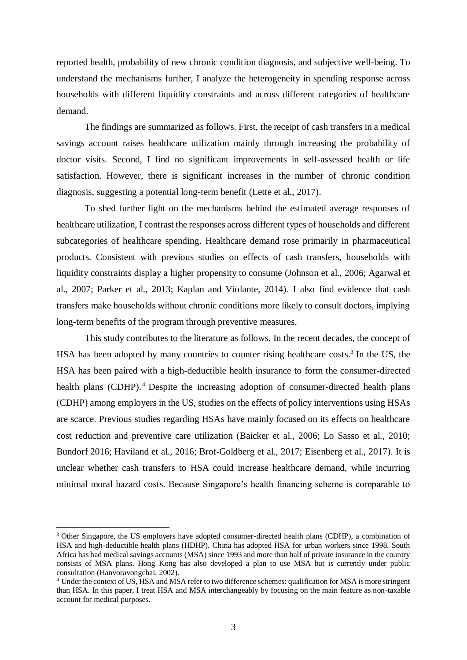reported health, probability of new chronic condition diagnosis, and subjective well-being. To understand the mechanisms further, I analyze the heterogeneity in spending response across households with different liquidity constraints and across different categories of healthcare demand.

The findings are summarized as follows. First, the receipt of cash transfers in a medical savings account raises healthcare utilization mainly through increasing the probability of doctor visits. Second, I find no significant improvements in self-assessed health or life satisfaction. However, there is significant increases in the number of chronic condition diagnosis, suggesting a potential long-term benefit (Lette et al., 2017).

To shed further light on the mechanisms behind the estimated average responses of healthcare utilization, I contrast the responses across different types of households and different subcategories of healthcare spending. Healthcare demand rose primarily in pharmaceutical products. Consistent with previous studies on effects of cash transfers, households with liquidity constraints display a higher propensity to consume (Johnson et al., 2006; Agarwal et al., 2007; Parker et al., 2013; Kaplan and Violante, 2014). I also find evidence that cash transfers make households without chronic conditions more likely to consult doctors, implying long-term benefits of the program through preventive measures.

This study contributes to the literature as follows. In the recent decades, the concept of HSA has been adopted by many countries to counter rising healthcare costs.<sup>3</sup> In the US, the HSA has been paired with a high-deductible health insurance to form the consumer-directed health plans (CDHP).<sup>4</sup> Despite the increasing adoption of consumer-directed health plans (CDHP) among employers in the US, studies on the effects of policy interventions using HSAs are scarce. Previous studies regarding HSAs have mainly focused on its effects on healthcare cost reduction and preventive care utilization (Baicker et al., 2006; Lo Sasso et al., 2010; Bundorf 2016; Haviland et al., 2016; Brot-Goldberg et al., 2017; Eisenberg et al., 2017). It is unclear whether cash transfers to HSA could increase healthcare demand, while incurring minimal moral hazard costs. Because Singapore's health financing scheme is comparable to

<sup>&</sup>lt;sup>3</sup> Other Singapore, the US employers have adopted consumer-directed health plans (CDHP), a combination of HSA and high-deductible health plans (HDHP). China has adopted HSA for urban workers since 1998. South Africa has had medical savings accounts (MSA) since 1993 and more than half of private insurance in the country consists of MSA plans. Hong Kong has also developed a plan to use MSA but is currently under public consultation (Hanvoravongchai, 2002).

<sup>4</sup> Under the context of US, HSA and MSA refer to two difference schemes: qualification for MSA is more stringent than HSA. In this paper, I treat HSA and MSA interchangeably by focusing on the main feature as non-taxable account for medical purposes.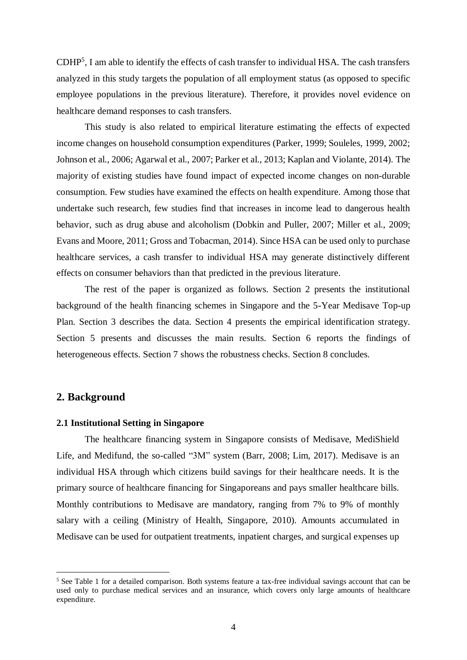CDHP<sup>5</sup> , I am able to identify the effects of cash transfer to individual HSA. The cash transfers analyzed in this study targets the population of all employment status (as opposed to specific employee populations in the previous literature). Therefore, it provides novel evidence on healthcare demand responses to cash transfers.

This study is also related to empirical literature estimating the effects of expected income changes on household consumption expenditures (Parker, 1999; Souleles, 1999, 2002; Johnson et al., 2006; Agarwal et al., 2007; Parker et al., 2013; Kaplan and Violante, 2014). The majority of existing studies have found impact of expected income changes on non-durable consumption. Few studies have examined the effects on health expenditure. Among those that undertake such research, few studies find that increases in income lead to dangerous health behavior, such as drug abuse and alcoholism (Dobkin and Puller, 2007; Miller et al., 2009; Evans and Moore, 2011; Gross and Tobacman, 2014). Since HSA can be used only to purchase healthcare services, a cash transfer to individual HSA may generate distinctively different effects on consumer behaviors than that predicted in the previous literature.

The rest of the paper is organized as follows. Section 2 presents the institutional background of the health financing schemes in Singapore and the 5-Year Medisave Top-up Plan. Section 3 describes the data. Section 4 presents the empirical identification strategy. Section 5 presents and discusses the main results. Section 6 reports the findings of heterogeneous effects. Section 7 shows the robustness checks. Section 8 concludes.

### **2. Background**

 $\overline{a}$ 

#### **2.1 Institutional Setting in Singapore**

The healthcare financing system in Singapore consists of Medisave, MediShield Life, and Medifund, the so-called "3M" system (Barr, 2008; Lim, 2017). Medisave is an individual HSA through which citizens build savings for their healthcare needs. It is the primary source of healthcare financing for Singaporeans and pays smaller healthcare bills. Monthly contributions to Medisave are mandatory, ranging from 7% to 9% of monthly salary with a ceiling (Ministry of Health, Singapore, 2010). Amounts accumulated in Medisave can be used for outpatient treatments, inpatient charges, and surgical expenses up

<sup>&</sup>lt;sup>5</sup> See Table 1 for a detailed comparison. Both systems feature a tax-free individual savings account that can be used only to purchase medical services and an insurance, which covers only large amounts of healthcare expenditure.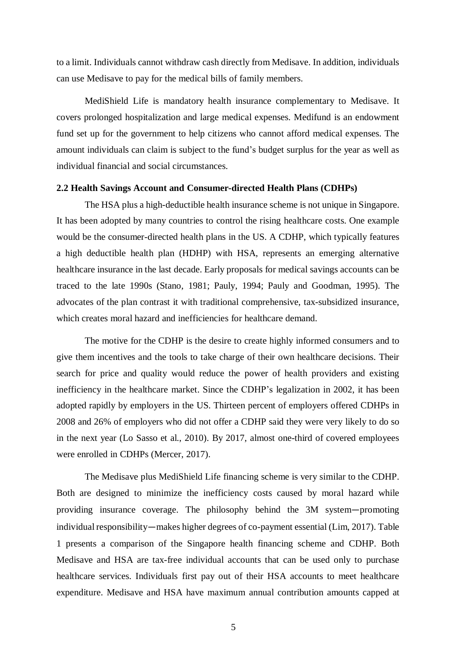to a limit. Individuals cannot withdraw cash directly from Medisave. In addition, individuals can use Medisave to pay for the medical bills of family members.

MediShield Life is mandatory health insurance complementary to Medisave. It covers prolonged hospitalization and large medical expenses. Medifund is an endowment fund set up for the government to help citizens who cannot afford medical expenses. The amount individuals can claim is subject to the fund's budget surplus for the year as well as individual financial and social circumstances.

#### **2.2 Health Savings Account and Consumer-directed Health Plans (CDHPs)**

The HSA plus a high-deductible health insurance scheme is not unique in Singapore. It has been adopted by many countries to control the rising healthcare costs. One example would be the consumer-directed health plans in the US. A CDHP, which typically features a high deductible health plan (HDHP) with HSA, represents an emerging alternative healthcare insurance in the last decade. Early proposals for medical savings accounts can be traced to the late 1990s (Stano, 1981; Pauly, 1994; Pauly and Goodman, 1995). The advocates of the plan contrast it with traditional comprehensive, tax-subsidized insurance, which creates moral hazard and inefficiencies for healthcare demand.

The motive for the CDHP is the desire to create highly informed consumers and to give them incentives and the tools to take charge of their own healthcare decisions. Their search for price and quality would reduce the power of health providers and existing inefficiency in the healthcare market. Since the CDHP's legalization in 2002, it has been adopted rapidly by employers in the US. Thirteen percent of employers offered CDHPs in 2008 and 26% of employers who did not offer a CDHP said they were very likely to do so in the next year (Lo Sasso et al., 2010). By 2017, almost one-third of covered employees were enrolled in CDHPs (Mercer, 2017).

The Medisave plus MediShield Life financing scheme is very similar to the CDHP. Both are designed to minimize the inefficiency costs caused by moral hazard while providing insurance coverage. The philosophy behind the 3M system—promoting individual responsibility—makes higher degrees of co-payment essential (Lim, 2017). Table 1 presents a comparison of the Singapore health financing scheme and CDHP. Both Medisave and HSA are tax-free individual accounts that can be used only to purchase healthcare services. Individuals first pay out of their HSA accounts to meet healthcare expenditure. Medisave and HSA have maximum annual contribution amounts capped at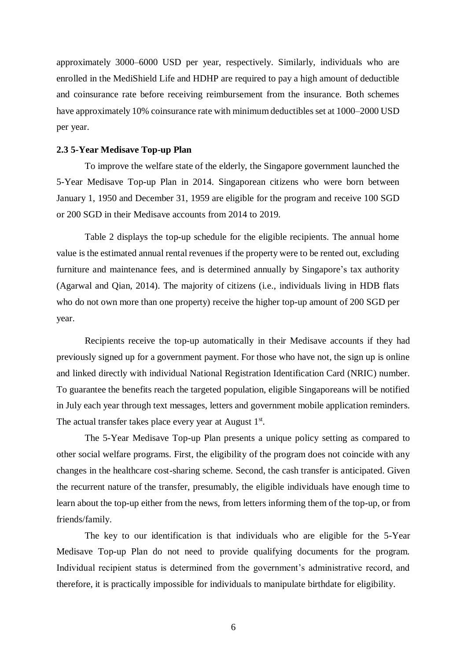approximately 3000–6000 USD per year, respectively. Similarly, individuals who are enrolled in the MediShield Life and HDHP are required to pay a high amount of deductible and coinsurance rate before receiving reimbursement from the insurance. Both schemes have approximately 10% coinsurance rate with minimum deductibles set at 1000–2000 USD per year.

#### **2.3 5-Year Medisave Top-up Plan**

To improve the welfare state of the elderly, the Singapore government launched the 5-Year Medisave Top-up Plan in 2014. Singaporean citizens who were born between January 1, 1950 and December 31, 1959 are eligible for the program and receive 100 SGD or 200 SGD in their Medisave accounts from 2014 to 2019.

Table 2 displays the top-up schedule for the eligible recipients. The annual home value is the estimated annual rental revenues if the property were to be rented out, excluding furniture and maintenance fees, and is determined annually by Singapore's tax authority (Agarwal and Qian, 2014). The majority of citizens (i.e., individuals living in HDB flats who do not own more than one property) receive the higher top-up amount of 200 SGD per year.

Recipients receive the top-up automatically in their Medisave accounts if they had previously signed up for a government payment. For those who have not, the sign up is online and linked directly with individual National Registration Identification Card (NRIC) number. To guarantee the benefits reach the targeted population, eligible Singaporeans will be notified in July each year through text messages, letters and government mobile application reminders. The actual transfer takes place every year at August  $1<sup>st</sup>$ .

The 5-Year Medisave Top-up Plan presents a unique policy setting as compared to other social welfare programs. First, the eligibility of the program does not coincide with any changes in the healthcare cost-sharing scheme. Second, the cash transfer is anticipated. Given the recurrent nature of the transfer, presumably, the eligible individuals have enough time to learn about the top-up either from the news, from letters informing them of the top-up, or from friends/family.

The key to our identification is that individuals who are eligible for the 5-Year Medisave Top-up Plan do not need to provide qualifying documents for the program. Individual recipient status is determined from the government's administrative record, and therefore, it is practically impossible for individuals to manipulate birthdate for eligibility.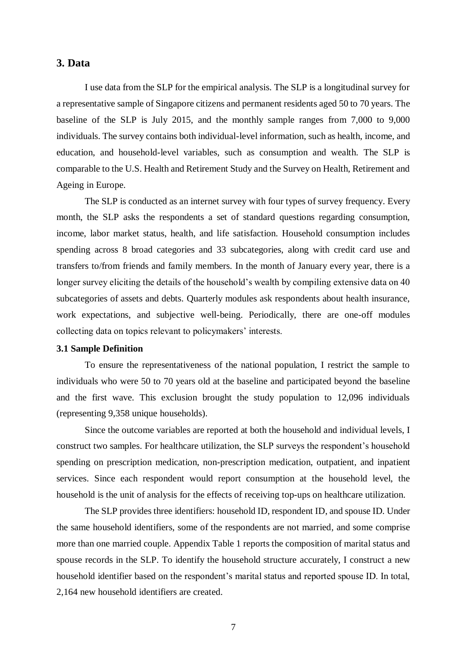# **3. Data**

I use data from the SLP for the empirical analysis. The SLP is a longitudinal survey for a representative sample of Singapore citizens and permanent residents aged 50 to 70 years. The baseline of the SLP is July 2015, and the monthly sample ranges from 7,000 to 9,000 individuals. The survey contains both individual-level information, such as health, income, and education, and household-level variables, such as consumption and wealth. The SLP is comparable to the U.S. Health and Retirement Study and the Survey on Health, Retirement and Ageing in Europe.

The SLP is conducted as an internet survey with four types of survey frequency. Every month, the SLP asks the respondents a set of standard questions regarding consumption, income, labor market status, health, and life satisfaction. Household consumption includes spending across 8 broad categories and 33 subcategories, along with credit card use and transfers to/from friends and family members. In the month of January every year, there is a longer survey eliciting the details of the household's wealth by compiling extensive data on 40 subcategories of assets and debts. Quarterly modules ask respondents about health insurance, work expectations, and subjective well-being. Periodically, there are one-off modules collecting data on topics relevant to policymakers' interests.

# **3.1 Sample Definition**

To ensure the representativeness of the national population, I restrict the sample to individuals who were 50 to 70 years old at the baseline and participated beyond the baseline and the first wave. This exclusion brought the study population to 12,096 individuals (representing 9,358 unique households).

Since the outcome variables are reported at both the household and individual levels, I construct two samples. For healthcare utilization, the SLP surveys the respondent's household spending on prescription medication, non-prescription medication, outpatient, and inpatient services. Since each respondent would report consumption at the household level, the household is the unit of analysis for the effects of receiving top-ups on healthcare utilization.

The SLP provides three identifiers: household ID, respondent ID, and spouse ID. Under the same household identifiers, some of the respondents are not married, and some comprise more than one married couple. Appendix Table 1 reports the composition of marital status and spouse records in the SLP. To identify the household structure accurately, I construct a new household identifier based on the respondent's marital status and reported spouse ID. In total, 2,164 new household identifiers are created.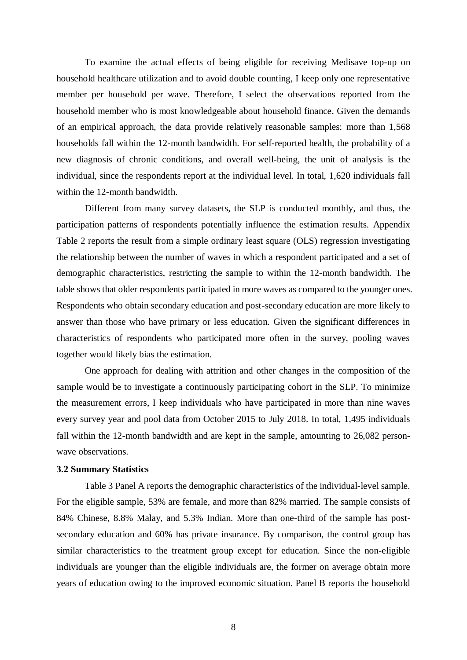To examine the actual effects of being eligible for receiving Medisave top-up on household healthcare utilization and to avoid double counting, I keep only one representative member per household per wave. Therefore, I select the observations reported from the household member who is most knowledgeable about household finance. Given the demands of an empirical approach, the data provide relatively reasonable samples: more than 1,568 households fall within the 12-month bandwidth. For self-reported health, the probability of a new diagnosis of chronic conditions, and overall well-being, the unit of analysis is the individual, since the respondents report at the individual level. In total, 1,620 individuals fall within the 12-month bandwidth.

Different from many survey datasets, the SLP is conducted monthly, and thus, the participation patterns of respondents potentially influence the estimation results. Appendix Table 2 reports the result from a simple ordinary least square (OLS) regression investigating the relationship between the number of waves in which a respondent participated and a set of demographic characteristics, restricting the sample to within the 12-month bandwidth. The table shows that older respondents participated in more waves as compared to the younger ones. Respondents who obtain secondary education and post-secondary education are more likely to answer than those who have primary or less education. Given the significant differences in characteristics of respondents who participated more often in the survey, pooling waves together would likely bias the estimation.

One approach for dealing with attrition and other changes in the composition of the sample would be to investigate a continuously participating cohort in the SLP. To minimize the measurement errors, I keep individuals who have participated in more than nine waves every survey year and pool data from October 2015 to July 2018. In total, 1,495 individuals fall within the 12-month bandwidth and are kept in the sample, amounting to 26,082 personwave observations.

#### **3.2 Summary Statistics**

Table 3 Panel A reports the demographic characteristics of the individual-level sample. For the eligible sample, 53% are female, and more than 82% married. The sample consists of 84% Chinese, 8.8% Malay, and 5.3% Indian. More than one-third of the sample has postsecondary education and 60% has private insurance. By comparison, the control group has similar characteristics to the treatment group except for education. Since the non-eligible individuals are younger than the eligible individuals are, the former on average obtain more years of education owing to the improved economic situation. Panel B reports the household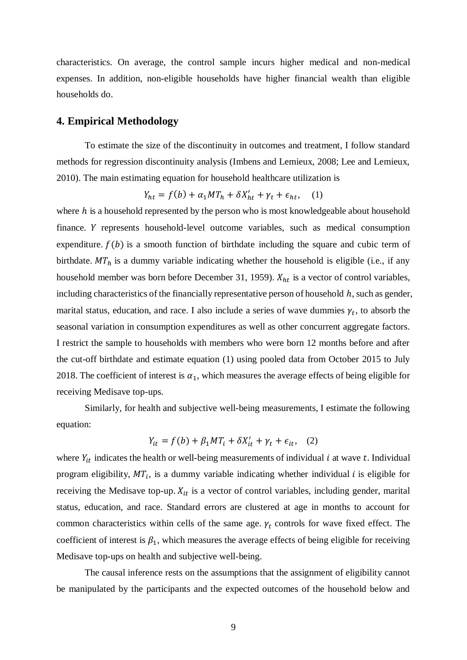characteristics. On average, the control sample incurs higher medical and non-medical expenses. In addition, non-eligible households have higher financial wealth than eligible households do.

# **4. Empirical Methodology**

To estimate the size of the discontinuity in outcomes and treatment, I follow standard methods for regression discontinuity analysis (Imbens and Lemieux, 2008; Lee and Lemieux, 2010). The main estimating equation for household healthcare utilization is

$$
Y_{ht} = f(b) + \alpha_1 M T_h + \delta X_{ht}' + \gamma_t + \epsilon_{ht}, \quad (1)
$$

where  $h$  is a household represented by the person who is most knowledgeable about household finance. Y represents household-level outcome variables, such as medical consumption expenditure.  $f(b)$  is a smooth function of birthdate including the square and cubic term of birthdate.  $MT_h$  is a dummy variable indicating whether the household is eligible (i.e., if any household member was born before December 31, 1959).  $X_{ht}$  is a vector of control variables, including characteristics of the financially representative person of household  $h$ , such as gender, marital status, education, and race. I also include a series of wave dummies  $\gamma_t$ , to absorb the seasonal variation in consumption expenditures as well as other concurrent aggregate factors. I restrict the sample to households with members who were born 12 months before and after the cut-off birthdate and estimate equation (1) using pooled data from October 2015 to July 2018. The coefficient of interest is  $\alpha_1$ , which measures the average effects of being eligible for receiving Medisave top-ups.

Similarly, for health and subjective well-being measurements, I estimate the following equation:

$$
Y_{it} = f(b) + \beta_1 M T_i + \delta X'_{it} + \gamma_t + \epsilon_{it}, \quad (2)
$$

where  $Y_{it}$  indicates the health or well-being measurements of individual  $i$  at wave  $t$ . Individual program eligibility,  $MT_i$ , is a dummy variable indicating whether individual *i* is eligible for receiving the Medisave top-up.  $X_{it}$  is a vector of control variables, including gender, marital status, education, and race. Standard errors are clustered at age in months to account for common characteristics within cells of the same age.  $\gamma_t$  controls for wave fixed effect. The coefficient of interest is  $\beta_1$ , which measures the average effects of being eligible for receiving Medisave top-ups on health and subjective well-being.

The causal inference rests on the assumptions that the assignment of eligibility cannot be manipulated by the participants and the expected outcomes of the household below and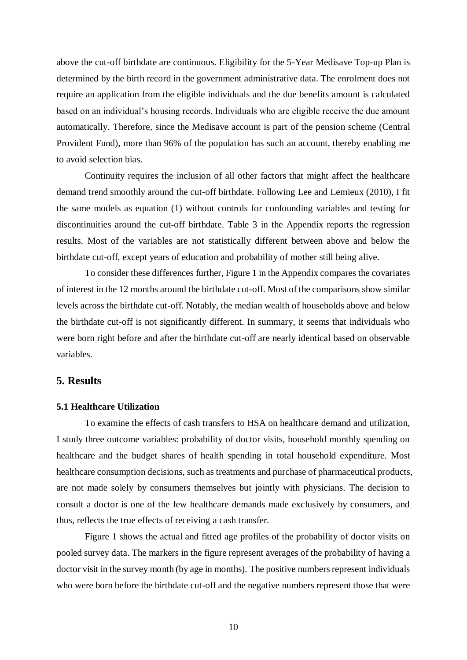above the cut-off birthdate are continuous. Eligibility for the 5-Year Medisave Top-up Plan is determined by the birth record in the government administrative data. The enrolment does not require an application from the eligible individuals and the due benefits amount is calculated based on an individual's housing records. Individuals who are eligible receive the due amount automatically. Therefore, since the Medisave account is part of the pension scheme (Central Provident Fund), more than 96% of the population has such an account, thereby enabling me to avoid selection bias.

Continuity requires the inclusion of all other factors that might affect the healthcare demand trend smoothly around the cut-off birthdate. Following Lee and Lemieux (2010), I fit the same models as equation (1) without controls for confounding variables and testing for discontinuities around the cut-off birthdate. Table 3 in the Appendix reports the regression results. Most of the variables are not statistically different between above and below the birthdate cut-off, except years of education and probability of mother still being alive.

To consider these differences further, Figure 1 in the Appendix compares the covariates of interest in the 12 months around the birthdate cut-off. Most of the comparisons show similar levels across the birthdate cut-off. Notably, the median wealth of households above and below the birthdate cut-off is not significantly different. In summary, it seems that individuals who were born right before and after the birthdate cut-off are nearly identical based on observable variables.

# **5. Results**

#### **5.1 Healthcare Utilization**

To examine the effects of cash transfers to HSA on healthcare demand and utilization, I study three outcome variables: probability of doctor visits, household monthly spending on healthcare and the budget shares of health spending in total household expenditure. Most healthcare consumption decisions, such as treatments and purchase of pharmaceutical products, are not made solely by consumers themselves but jointly with physicians. The decision to consult a doctor is one of the few healthcare demands made exclusively by consumers, and thus, reflects the true effects of receiving a cash transfer.

Figure 1 shows the actual and fitted age profiles of the probability of doctor visits on pooled survey data. The markers in the figure represent averages of the probability of having a doctor visit in the survey month (by age in months). The positive numbers represent individuals who were born before the birthdate cut-off and the negative numbers represent those that were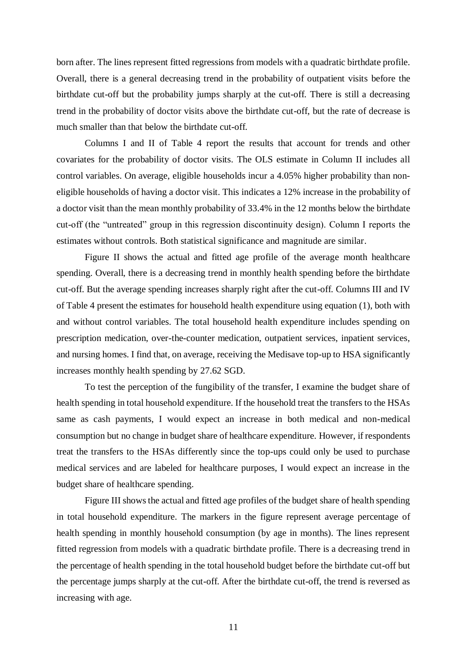born after. The lines represent fitted regressions from models with a quadratic birthdate profile. Overall, there is a general decreasing trend in the probability of outpatient visits before the birthdate cut-off but the probability jumps sharply at the cut-off. There is still a decreasing trend in the probability of doctor visits above the birthdate cut-off, but the rate of decrease is much smaller than that below the birthdate cut-off.

Columns I and II of Table 4 report the results that account for trends and other covariates for the probability of doctor visits. The OLS estimate in Column II includes all control variables. On average, eligible households incur a 4.05% higher probability than noneligible households of having a doctor visit. This indicates a 12% increase in the probability of a doctor visit than the mean monthly probability of 33.4% in the 12 months below the birthdate cut-off (the "untreated" group in this regression discontinuity design). Column I reports the estimates without controls. Both statistical significance and magnitude are similar.

Figure II shows the actual and fitted age profile of the average month healthcare spending. Overall, there is a decreasing trend in monthly health spending before the birthdate cut-off. But the average spending increases sharply right after the cut-off. Columns III and IV of Table 4 present the estimates for household health expenditure using equation (1), both with and without control variables. The total household health expenditure includes spending on prescription medication, over-the-counter medication, outpatient services, inpatient services, and nursing homes. I find that, on average, receiving the Medisave top-up to HSA significantly increases monthly health spending by 27.62 SGD.

To test the perception of the fungibility of the transfer, I examine the budget share of health spending in total household expenditure. If the household treat the transfers to the HSAs same as cash payments, I would expect an increase in both medical and non-medical consumption but no change in budget share of healthcare expenditure. However, if respondents treat the transfers to the HSAs differently since the top-ups could only be used to purchase medical services and are labeled for healthcare purposes, I would expect an increase in the budget share of healthcare spending.

Figure III shows the actual and fitted age profiles of the budget share of health spending in total household expenditure. The markers in the figure represent average percentage of health spending in monthly household consumption (by age in months). The lines represent fitted regression from models with a quadratic birthdate profile. There is a decreasing trend in the percentage of health spending in the total household budget before the birthdate cut-off but the percentage jumps sharply at the cut-off. After the birthdate cut-off, the trend is reversed as increasing with age.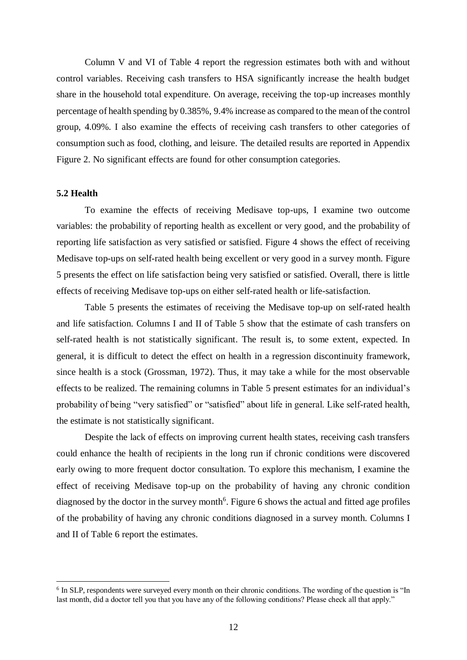Column V and VI of Table 4 report the regression estimates both with and without control variables. Receiving cash transfers to HSA significantly increase the health budget share in the household total expenditure. On average, receiving the top-up increases monthly percentage of health spending by 0.385%, 9.4% increase as compared to the mean of the control group, 4.09%. I also examine the effects of receiving cash transfers to other categories of consumption such as food, clothing, and leisure. The detailed results are reported in Appendix Figure 2. No significant effects are found for other consumption categories.

#### **5.2 Health**

 $\overline{a}$ 

To examine the effects of receiving Medisave top-ups, I examine two outcome variables: the probability of reporting health as excellent or very good, and the probability of reporting life satisfaction as very satisfied or satisfied. Figure 4 shows the effect of receiving Medisave top-ups on self-rated health being excellent or very good in a survey month. Figure 5 presents the effect on life satisfaction being very satisfied or satisfied. Overall, there is little effects of receiving Medisave top-ups on either self-rated health or life-satisfaction.

Table 5 presents the estimates of receiving the Medisave top-up on self-rated health and life satisfaction. Columns I and II of Table 5 show that the estimate of cash transfers on self-rated health is not statistically significant. The result is, to some extent, expected. In general, it is difficult to detect the effect on health in a regression discontinuity framework, since health is a stock (Grossman, 1972). Thus, it may take a while for the most observable effects to be realized. The remaining columns in Table 5 present estimates for an individual's probability of being "very satisfied" or "satisfied" about life in general. Like self-rated health, the estimate is not statistically significant.

Despite the lack of effects on improving current health states, receiving cash transfers could enhance the health of recipients in the long run if chronic conditions were discovered early owing to more frequent doctor consultation. To explore this mechanism, I examine the effect of receiving Medisave top-up on the probability of having any chronic condition diagnosed by the doctor in the survey month<sup>6</sup>. Figure 6 shows the actual and fitted age profiles of the probability of having any chronic conditions diagnosed in a survey month. Columns I and II of Table 6 report the estimates.

<sup>&</sup>lt;sup>6</sup> In SLP, respondents were surveyed every month on their chronic conditions. The wording of the question is "In last month, did a doctor tell you that you have any of the following conditions? Please check all that apply."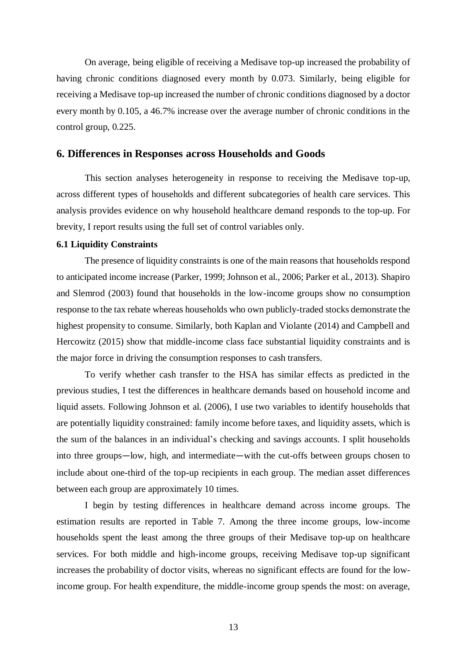On average, being eligible of receiving a Medisave top-up increased the probability of having chronic conditions diagnosed every month by 0.073. Similarly, being eligible for receiving a Medisave top-up increased the number of chronic conditions diagnosed by a doctor every month by 0.105, a 46.7% increase over the average number of chronic conditions in the control group, 0.225.

#### **6. Differences in Responses across Households and Goods**

This section analyses heterogeneity in response to receiving the Medisave top-up, across different types of households and different subcategories of health care services. This analysis provides evidence on why household healthcare demand responds to the top-up. For brevity, I report results using the full set of control variables only.

#### **6.1 Liquidity Constraints**

The presence of liquidity constraints is one of the main reasons that households respond to anticipated income increase (Parker, 1999; Johnson et al., 2006; Parker et al., 2013). Shapiro and Slemrod (2003) found that households in the low-income groups show no consumption response to the tax rebate whereas households who own publicly-traded stocks demonstrate the highest propensity to consume. Similarly, both Kaplan and Violante (2014) and Campbell and Hercowitz (2015) show that middle-income class face substantial liquidity constraints and is the major force in driving the consumption responses to cash transfers.

To verify whether cash transfer to the HSA has similar effects as predicted in the previous studies, I test the differences in healthcare demands based on household income and liquid assets. Following Johnson et al. (2006), I use two variables to identify households that are potentially liquidity constrained: family income before taxes, and liquidity assets, which is the sum of the balances in an individual's checking and savings accounts. I split households into three groups—low, high*,* and intermediate—with the cut-offs between groups chosen to include about one-third of the top-up recipients in each group. The median asset differences between each group are approximately 10 times.

I begin by testing differences in healthcare demand across income groups. The estimation results are reported in Table 7. Among the three income groups, low-income households spent the least among the three groups of their Medisave top-up on healthcare services. For both middle and high-income groups, receiving Medisave top-up significant increases the probability of doctor visits, whereas no significant effects are found for the lowincome group. For health expenditure, the middle-income group spends the most: on average,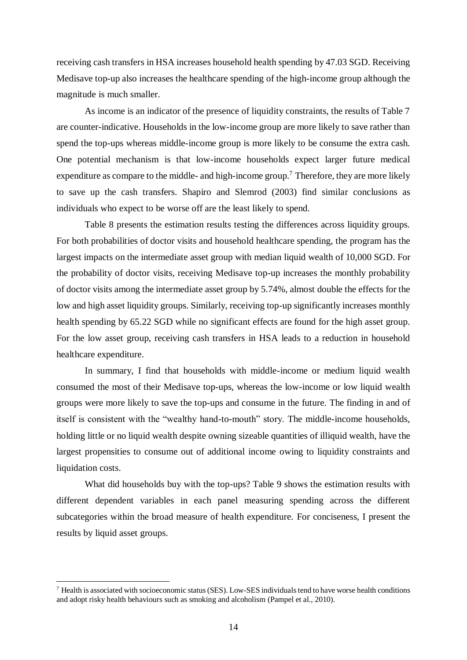receiving cash transfers in HSA increases household health spending by 47.03 SGD. Receiving Medisave top-up also increases the healthcare spending of the high-income group although the magnitude is much smaller.

As income is an indicator of the presence of liquidity constraints, the results of Table 7 are counter-indicative. Households in the low-income group are more likely to save rather than spend the top-ups whereas middle-income group is more likely to be consume the extra cash. One potential mechanism is that low-income households expect larger future medical expenditure as compare to the middle- and high-income group.<sup>7</sup> Therefore, they are more likely to save up the cash transfers. Shapiro and Slemrod (2003) find similar conclusions as individuals who expect to be worse off are the least likely to spend.

Table 8 presents the estimation results testing the differences across liquidity groups. For both probabilities of doctor visits and household healthcare spending, the program has the largest impacts on the intermediate asset group with median liquid wealth of 10,000 SGD. For the probability of doctor visits, receiving Medisave top-up increases the monthly probability of doctor visits among the intermediate asset group by 5.74%, almost double the effects for the low and high asset liquidity groups. Similarly, receiving top-up significantly increases monthly health spending by 65.22 SGD while no significant effects are found for the high asset group. For the low asset group, receiving cash transfers in HSA leads to a reduction in household healthcare expenditure.

In summary, I find that households with middle-income or medium liquid wealth consumed the most of their Medisave top-ups, whereas the low-income or low liquid wealth groups were more likely to save the top-ups and consume in the future. The finding in and of itself is consistent with the "wealthy hand-to-mouth" story. The middle-income households, holding little or no liquid wealth despite owning sizeable quantities of illiquid wealth, have the largest propensities to consume out of additional income owing to liquidity constraints and liquidation costs.

What did households buy with the top-ups? Table 9 shows the estimation results with different dependent variables in each panel measuring spending across the different subcategories within the broad measure of health expenditure. For conciseness, I present the results by liquid asset groups.

 $^7$  Health is associated with socioeconomic status (SES). Low-SES individuals tend to have worse health conditions and adopt risky health behaviours such as smoking and alcoholism (Pampel et al., 2010).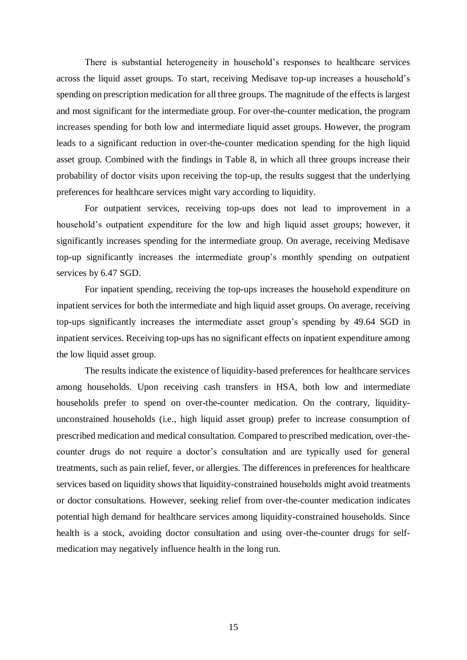There is substantial heterogeneity in household's responses to healthcare services across the liquid asset groups. To start, receiving Medisave top-up increases a household's spending on prescription medication for all three groups. The magnitude of the effects is largest and most significant for the intermediate group. For over-the-counter medication, the program increases spending for both low and intermediate liquid asset groups. However, the program leads to a significant reduction in over-the-counter medication spending for the high liquid asset group. Combined with the findings in Table 8, in which all three groups increase their probability of doctor visits upon receiving the top-up, the results suggest that the underlying preferences for healthcare services might vary according to liquidity.

For outpatient services, receiving top-ups does not lead to improvement in a household's outpatient expenditure for the low and high liquid asset groups; however, it significantly increases spending for the intermediate group. On average, receiving Medisave top-up significantly increases the intermediate group's monthly spending on outpatient services by 6.47 SGD.

For inpatient spending, receiving the top-ups increases the household expenditure on inpatient services for both the intermediate and high liquid asset groups. On average, receiving top-ups significantly increases the intermediate asset group's spending by 49.64 SGD in inpatient services. Receiving top-ups has no significant effects on inpatient expenditure among the low liquid asset group.

The results indicate the existence of liquidity-based preferences for healthcare services among households. Upon receiving cash transfers in HSA, both low and intermediate households prefer to spend on over-the-counter medication. On the contrary, liquidityunconstrained households (i.e., high liquid asset group) prefer to increase consumption of prescribed medication and medical consultation. Compared to prescribed medication, over-thecounter drugs do not require a doctor's consultation and are typically used for general treatments, such as pain relief, fever, or allergies. The differences in preferences for healthcare services based on liquidity shows that liquidity-constrained households might avoid treatments or doctor consultations. However, seeking relief from over-the-counter medication indicates potential high demand for healthcare services among liquidity-constrained households. Since health is a stock, avoiding doctor consultation and using over-the-counter drugs for selfmedication may negatively influence health in the long run.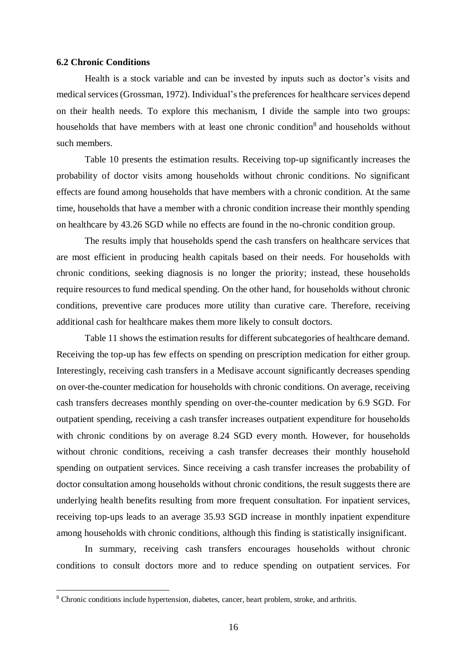#### **6.2 Chronic Conditions**

 $\overline{a}$ 

Health is a stock variable and can be invested by inputs such as doctor's visits and medical services (Grossman, 1972). Individual's the preferences for healthcare services depend on their health needs. To explore this mechanism, I divide the sample into two groups: households that have members with at least one chronic condition<sup>8</sup> and households without such members.

Table 10 presents the estimation results. Receiving top-up significantly increases the probability of doctor visits among households without chronic conditions. No significant effects are found among households that have members with a chronic condition. At the same time, households that have a member with a chronic condition increase their monthly spending on healthcare by 43.26 SGD while no effects are found in the no-chronic condition group.

The results imply that households spend the cash transfers on healthcare services that are most efficient in producing health capitals based on their needs. For households with chronic conditions, seeking diagnosis is no longer the priority; instead, these households require resources to fund medical spending. On the other hand, for households without chronic conditions, preventive care produces more utility than curative care. Therefore, receiving additional cash for healthcare makes them more likely to consult doctors.

Table 11 shows the estimation results for different subcategories of healthcare demand. Receiving the top-up has few effects on spending on prescription medication for either group. Interestingly, receiving cash transfers in a Medisave account significantly decreases spending on over-the-counter medication for households with chronic conditions. On average, receiving cash transfers decreases monthly spending on over-the-counter medication by 6.9 SGD. For outpatient spending, receiving a cash transfer increases outpatient expenditure for households with chronic conditions by on average 8.24 SGD every month. However, for households without chronic conditions, receiving a cash transfer decreases their monthly household spending on outpatient services. Since receiving a cash transfer increases the probability of doctor consultation among households without chronic conditions, the result suggests there are underlying health benefits resulting from more frequent consultation. For inpatient services, receiving top-ups leads to an average 35.93 SGD increase in monthly inpatient expenditure among households with chronic conditions, although this finding is statistically insignificant.

In summary, receiving cash transfers encourages households without chronic conditions to consult doctors more and to reduce spending on outpatient services. For

<sup>8</sup> Chronic conditions include hypertension, diabetes, cancer, heart problem, stroke, and arthritis.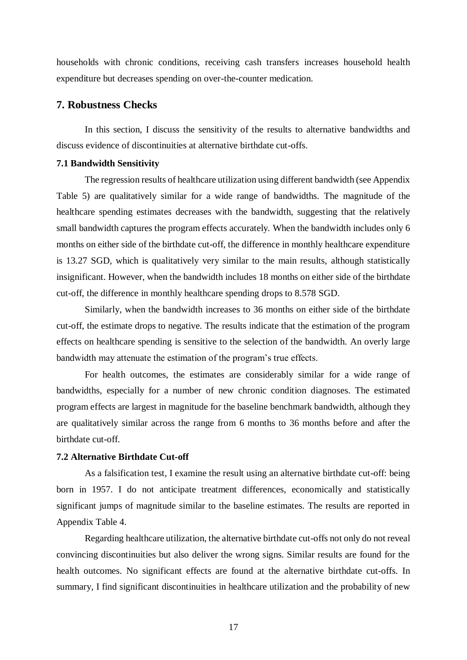households with chronic conditions, receiving cash transfers increases household health expenditure but decreases spending on over-the-counter medication.

# **7. Robustness Checks**

In this section, I discuss the sensitivity of the results to alternative bandwidths and discuss evidence of discontinuities at alternative birthdate cut-offs.

#### **7.1 Bandwidth Sensitivity**

The regression results of healthcare utilization using different bandwidth (see Appendix Table 5) are qualitatively similar for a wide range of bandwidths. The magnitude of the healthcare spending estimates decreases with the bandwidth, suggesting that the relatively small bandwidth captures the program effects accurately. When the bandwidth includes only 6 months on either side of the birthdate cut-off, the difference in monthly healthcare expenditure is 13.27 SGD, which is qualitatively very similar to the main results, although statistically insignificant. However, when the bandwidth includes 18 months on either side of the birthdate cut-off, the difference in monthly healthcare spending drops to 8.578 SGD.

Similarly, when the bandwidth increases to 36 months on either side of the birthdate cut-off, the estimate drops to negative. The results indicate that the estimation of the program effects on healthcare spending is sensitive to the selection of the bandwidth. An overly large bandwidth may attenuate the estimation of the program's true effects.

For health outcomes, the estimates are considerably similar for a wide range of bandwidths, especially for a number of new chronic condition diagnoses. The estimated program effects are largest in magnitude for the baseline benchmark bandwidth, although they are qualitatively similar across the range from 6 months to 36 months before and after the birthdate cut-off.

#### **7.2 Alternative Birthdate Cut-off**

As a falsification test, I examine the result using an alternative birthdate cut-off: being born in 1957. I do not anticipate treatment differences, economically and statistically significant jumps of magnitude similar to the baseline estimates. The results are reported in Appendix Table 4.

Regarding healthcare utilization, the alternative birthdate cut-offs not only do not reveal convincing discontinuities but also deliver the wrong signs. Similar results are found for the health outcomes. No significant effects are found at the alternative birthdate cut-offs. In summary, I find significant discontinuities in healthcare utilization and the probability of new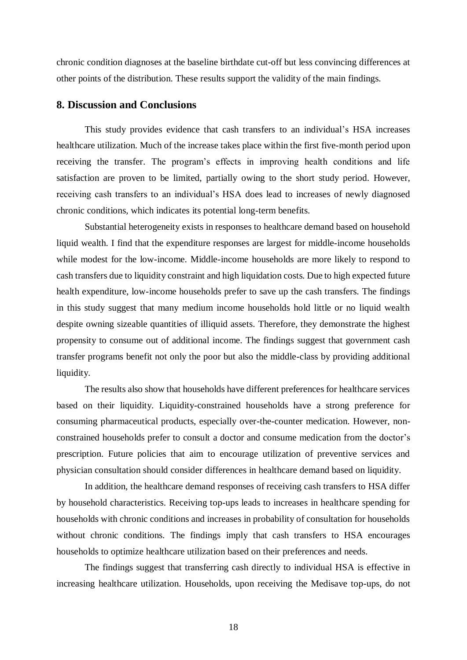chronic condition diagnoses at the baseline birthdate cut-off but less convincing differences at other points of the distribution. These results support the validity of the main findings.

# **8. Discussion and Conclusions**

This study provides evidence that cash transfers to an individual's HSA increases healthcare utilization. Much of the increase takes place within the first five-month period upon receiving the transfer. The program's effects in improving health conditions and life satisfaction are proven to be limited, partially owing to the short study period. However, receiving cash transfers to an individual's HSA does lead to increases of newly diagnosed chronic conditions, which indicates its potential long-term benefits.

Substantial heterogeneity exists in responses to healthcare demand based on household liquid wealth. I find that the expenditure responses are largest for middle-income households while modest for the low-income. Middle-income households are more likely to respond to cash transfers due to liquidity constraint and high liquidation costs. Due to high expected future health expenditure, low-income households prefer to save up the cash transfers. The findings in this study suggest that many medium income households hold little or no liquid wealth despite owning sizeable quantities of illiquid assets. Therefore, they demonstrate the highest propensity to consume out of additional income. The findings suggest that government cash transfer programs benefit not only the poor but also the middle-class by providing additional liquidity.

The results also show that households have different preferences for healthcare services based on their liquidity. Liquidity-constrained households have a strong preference for consuming pharmaceutical products, especially over-the-counter medication. However, nonconstrained households prefer to consult a doctor and consume medication from the doctor's prescription. Future policies that aim to encourage utilization of preventive services and physician consultation should consider differences in healthcare demand based on liquidity.

In addition, the healthcare demand responses of receiving cash transfers to HSA differ by household characteristics. Receiving top-ups leads to increases in healthcare spending for households with chronic conditions and increases in probability of consultation for households without chronic conditions. The findings imply that cash transfers to HSA encourages households to optimize healthcare utilization based on their preferences and needs.

The findings suggest that transferring cash directly to individual HSA is effective in increasing healthcare utilization. Households, upon receiving the Medisave top-ups, do not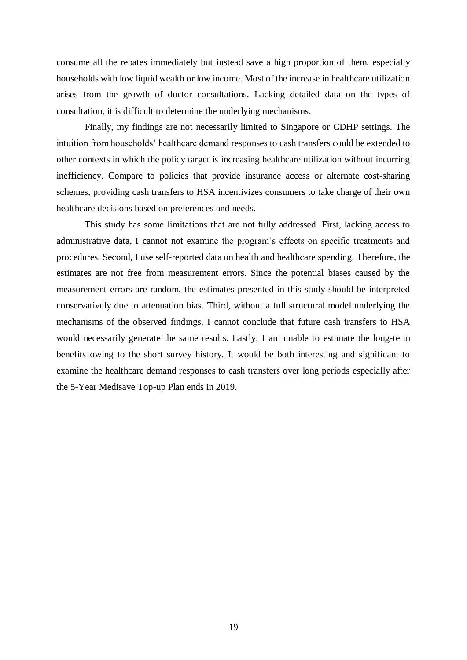consume all the rebates immediately but instead save a high proportion of them, especially households with low liquid wealth or low income. Most of the increase in healthcare utilization arises from the growth of doctor consultations. Lacking detailed data on the types of consultation, it is difficult to determine the underlying mechanisms.

Finally, my findings are not necessarily limited to Singapore or CDHP settings. The intuition from households' healthcare demand responses to cash transfers could be extended to other contexts in which the policy target is increasing healthcare utilization without incurring inefficiency. Compare to policies that provide insurance access or alternate cost-sharing schemes, providing cash transfers to HSA incentivizes consumers to take charge of their own healthcare decisions based on preferences and needs.

This study has some limitations that are not fully addressed. First, lacking access to administrative data, I cannot not examine the program's effects on specific treatments and procedures. Second, I use self-reported data on health and healthcare spending. Therefore, the estimates are not free from measurement errors. Since the potential biases caused by the measurement errors are random, the estimates presented in this study should be interpreted conservatively due to attenuation bias. Third, without a full structural model underlying the mechanisms of the observed findings, I cannot conclude that future cash transfers to HSA would necessarily generate the same results. Lastly, I am unable to estimate the long-term benefits owing to the short survey history. It would be both interesting and significant to examine the healthcare demand responses to cash transfers over long periods especially after the 5-Year Medisave Top-up Plan ends in 2019.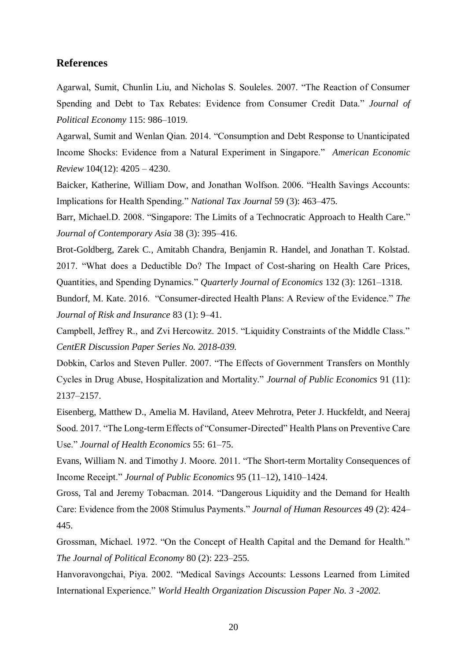# **References**

Agarwal, Sumit, Chunlin Liu, and Nicholas S. Souleles. 2007. "The Reaction of Consumer Spending and Debt to Tax Rebates: Evidence from Consumer Credit Data." *Journal of Political Economy* 115: 986–1019.

Agarwal, Sumit and Wenlan Qian. 2014. "Consumption and Debt Response to Unanticipated Income Shocks: Evidence from a Natural Experiment in Singapore." *American Economic Review* 104(12): 4205 – 4230.

Baicker, Katherine, William Dow, and Jonathan Wolfson. 2006. "Health Savings Accounts: Implications for Health Spending." *National Tax Journal* 59 (3): 463–475.

Barr, Michael.D. 2008. "Singapore: The Limits of a Technocratic Approach to Health Care." *Journal of Contemporary Asia* 38 (3): 395–416.

Brot-Goldberg, Zarek C., Amitabh Chandra, Benjamin R. Handel, and Jonathan T. Kolstad. 2017. "What does a Deductible Do? The Impact of Cost-sharing on Health Care Prices, Quantities, and Spending Dynamics." *Quarterly Journal of Economics* 132 (3): 1261–1318.

Bundorf, M. Kate. 2016. "Consumer-directed Health Plans: A Review of the Evidence." *The Journal of Risk and Insurance* 83 (1): 9–41.

Campbell, Jeffrey R., and Zvi Hercowitz. 2015. "Liquidity Constraints of the Middle Class." *CentER Discussion Paper Series No. 2018-039.*

Dobkin, Carlos and Steven Puller. 2007. "The Effects of Government Transfers on Monthly Cycles in Drug Abuse, Hospitalization and Mortality." *Journal of Public Economics* 91 (11): 2137–2157.

Eisenberg, Matthew D., Amelia M. Haviland, Ateev Mehrotra, Peter J. Huckfeldt, and Neeraj Sood. 2017. "The Long-term Effects of "Consumer-Directed" Health Plans on Preventive Care Use." *Journal of Health Economics* 55: 61–75.

Evans, William N. and Timothy J. Moore. 2011. "The Short-term Mortality Consequences of Income Receipt." *Journal of Public Economics* 95 (11–12), 1410–1424.

Gross, Tal and Jeremy Tobacman. 2014. "Dangerous Liquidity and the Demand for Health Care: Evidence from the 2008 Stimulus Payments." *Journal of Human Resources* 49 (2): 424– 445.

Grossman, Michael. 1972. "On the Concept of Health Capital and the Demand for Health." *The Journal of Political Economy* 80 (2): 223–255.

Hanvoravongchai, Piya. 2002. "Medical Savings Accounts: Lessons Learned from Limited International Experience." *World Health Organization Discussion Paper No. 3 -2002.*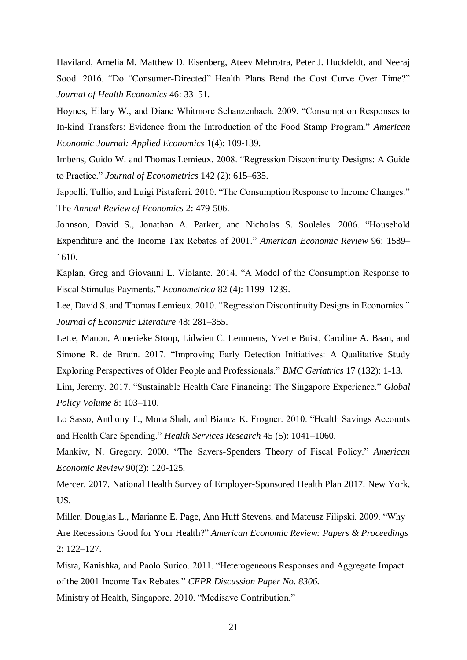Haviland, Amelia M, Matthew D. Eisenberg, Ateev Mehrotra, Peter J. Huckfeldt, and Neeraj Sood. 2016. "Do "Consumer-Directed" Health Plans Bend the Cost Curve Over Time?" *Journal of Health Economics* 46: 33–51.

Hoynes, Hilary W., and Diane Whitmore Schanzenbach. 2009. "Consumption Responses to In-kind Transfers: Evidence from the Introduction of the Food Stamp Program." *American Economic Journal: Applied Economics* 1(4): 109-139.

Imbens, Guido W. and Thomas Lemieux. 2008. "Regression Discontinuity Designs: A Guide to Practice." *Journal of Econometrics* 142 (2): 615–635.

Jappelli, Tullio, and Luigi Pistaferri. 2010. "The Consumption Response to Income Changes." The *Annual Review of Economics* 2: 479-506.

Johnson, David S., Jonathan A. Parker, and Nicholas S. Souleles. 2006. "Household Expenditure and the Income Tax Rebates of 2001." *American Economic Review* 96: 1589– 1610.

Kaplan, Greg and Giovanni L. Violante. 2014. "A Model of the Consumption Response to Fiscal Stimulus Payments." *Econometrica* 82 (4): 1199–1239.

Lee, David S. and Thomas Lemieux. 2010. "Regression Discontinuity Designs in Economics." *Journal of Economic Literature* 48: 281–355.

Lette, Manon, Annerieke Stoop, Lidwien C. Lemmens, Yvette Buist, Caroline A. Baan, and Simone R. de Bruin. 2017. "Improving Early Detection Initiatives: A Qualitative Study Exploring Perspectives of Older People and Professionals." *BMC Geriatrics* 17 (132): 1-13.

Lim, Jeremy. 2017. "Sustainable Health Care Financing: The Singapore Experience." *Global Policy Volume 8*: 103–110.

Lo Sasso, Anthony T., Mona Shah, and Bianca K. Frogner. 2010. "Health Savings Accounts and Health Care Spending." *Health Services Research* 45 (5): 1041–1060.

Mankiw, N. Gregory. 2000. "The Savers-Spenders Theory of Fiscal Policy." *American Economic Review* 90(2): 120-125.

Mercer. 2017. National Health Survey of Employer-Sponsored Health Plan 2017. New York, US.

Miller, Douglas L., Marianne E. Page, Ann Huff Stevens, and Mateusz Filipski. 2009. "Why Are Recessions Good for Your Health?" *American Economic Review: Papers & Proceedings* 2: 122–127.

Misra, Kanishka, and Paolo Surico. 2011. "Heterogeneous Responses and Aggregate Impact of the 2001 Income Tax Rebates." *CEPR Discussion Paper No. 8306.*

Ministry of Health, Singapore. 2010. "Medisave Contribution."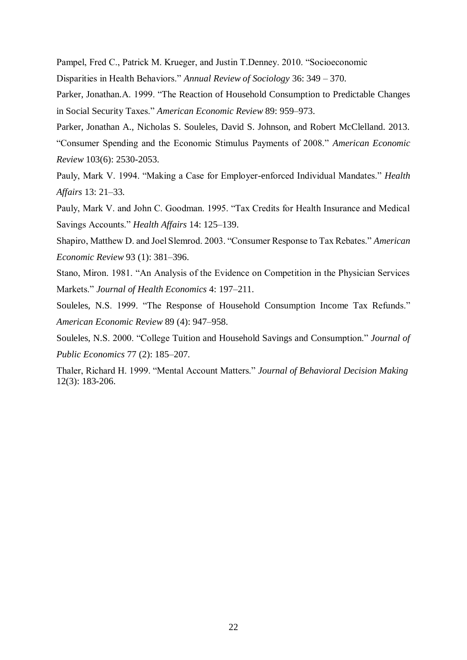Pampel, Fred C., Patrick M. Krueger, and Justin T.Denney. 2010. "Socioeconomic

Disparities in Health Behaviors." *Annual Review of Sociology* 36: 349 – 370.

Parker, Jonathan.A. 1999. "The Reaction of Household Consumption to Predictable Changes in Social Security Taxes." *American Economic Review* 89: 959–973.

Parker, Jonathan A., Nicholas S. Souleles, David S. Johnson, and Robert McClelland. 2013. "Consumer Spending and the Economic Stimulus Payments of 2008." *American Economic Review* 103(6): 2530-2053.

Pauly, Mark V. 1994. "Making a Case for Employer-enforced Individual Mandates." *Health Affairs* 13: 21–33.

Pauly, Mark V. and John C. Goodman. 1995. "Tax Credits for Health Insurance and Medical Savings Accounts." *Health Affairs* 14: 125–139.

Shapiro, Matthew D. and Joel Slemrod. 2003. "Consumer Response to Tax Rebates." *American Economic Review* 93 (1): 381–396.

Stano, Miron. 1981. "An Analysis of the Evidence on Competition in the Physician Services Markets." *Journal of Health Economics* 4: 197–211.

Souleles, N.S. 1999. "The Response of Household Consumption Income Tax Refunds." *American Economic Review* 89 (4): 947–958.

Souleles, N.S. 2000. "College Tuition and Household Savings and Consumption." *Journal of Public Economics* 77 (2): 185–207.

Thaler, Richard H. 1999. "Mental Account Matters." *Journal of Behavioral Decision Making* 12(3): 183-206.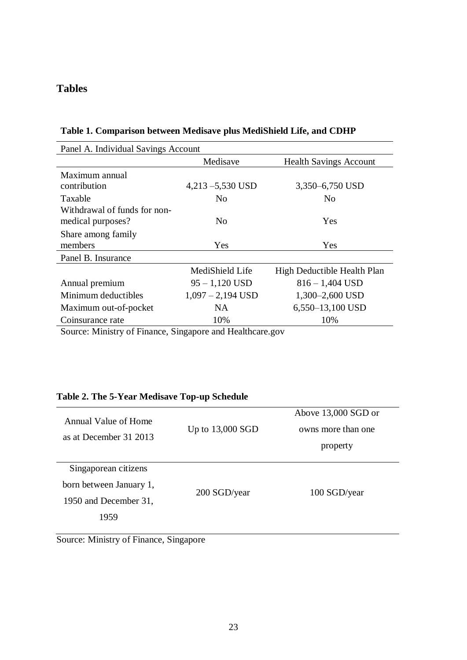# **Tables**

| Panel A. Individual Savings Account |                     |                               |  |  |  |  |
|-------------------------------------|---------------------|-------------------------------|--|--|--|--|
|                                     | Medisave            | <b>Health Savings Account</b> |  |  |  |  |
| Maximum annual                      |                     |                               |  |  |  |  |
| contribution                        | $4,213 - 5,530$ USD | 3,350–6,750 USD               |  |  |  |  |
| Taxable                             | N <sub>0</sub>      | No.                           |  |  |  |  |
| Withdrawal of funds for non-        |                     |                               |  |  |  |  |
| medical purposes?                   | No.                 | Yes                           |  |  |  |  |
| Share among family                  |                     |                               |  |  |  |  |
| members                             | Yes                 | Yes                           |  |  |  |  |
| Panel B. Insurance                  |                     |                               |  |  |  |  |
|                                     | MediShield Life     | High Deductible Health Plan   |  |  |  |  |
| Annual premium                      | $95 - 1,120$ USD    | $816 - 1,404$ USD             |  |  |  |  |
| Minimum deductibles                 | $1,097 - 2,194$ USD | 1,300-2,600 USD               |  |  |  |  |
| Maximum out-of-pocket               | NA                  | $6,550-13,100$ USD            |  |  |  |  |
| Coinsurance rate                    | 10%                 | 10%                           |  |  |  |  |

**Table 1. Comparison between Medisave plus MediShield Life, and CDHP**

Source: Ministry of Finance, Singapore and Healthcare.gov

# **Table 2. The 5-Year Medisave Top-up Schedule**

| Annual Value of Home<br>as at December 31 2013 | Up to $13,000$ SGD | Above 13,000 SGD or<br>owns more than one<br>property |
|------------------------------------------------|--------------------|-------------------------------------------------------|
| Singaporean citizens                           |                    |                                                       |
| born between January 1,                        | 200 SGD/year       | 100 SGD/year                                          |
| 1950 and December 31,                          |                    |                                                       |
| 1959                                           |                    |                                                       |
|                                                |                    |                                                       |

Source: Ministry of Finance, Singapore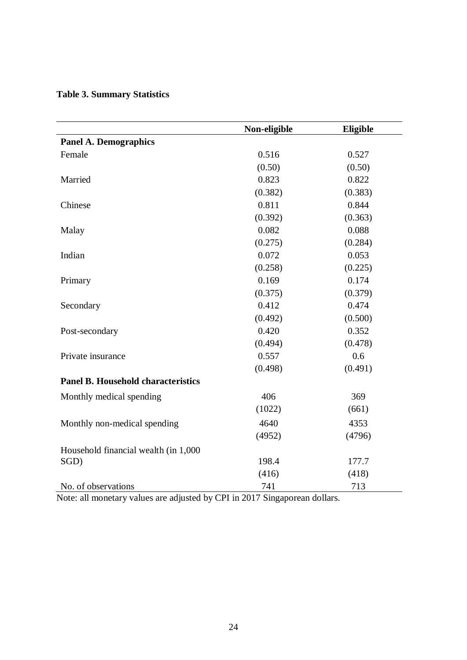| <b>Table 3. Summary Statistics</b> |  |
|------------------------------------|--|
|------------------------------------|--|

|                                           | Non-eligible | Eligible |
|-------------------------------------------|--------------|----------|
| <b>Panel A. Demographics</b>              |              |          |
| Female                                    | 0.516        | 0.527    |
|                                           | (0.50)       | (0.50)   |
| Married                                   | 0.823        | 0.822    |
|                                           | (0.382)      | (0.383)  |
| Chinese                                   | 0.811        | 0.844    |
|                                           | (0.392)      | (0.363)  |
| Malay                                     | 0.082        | 0.088    |
|                                           | (0.275)      | (0.284)  |
| Indian                                    | 0.072        | 0.053    |
|                                           | (0.258)      | (0.225)  |
| Primary                                   | 0.169        | 0.174    |
|                                           | (0.375)      | (0.379)  |
| Secondary                                 | 0.412        | 0.474    |
|                                           | (0.492)      | (0.500)  |
| Post-secondary                            | 0.420        | 0.352    |
|                                           | (0.494)      | (0.478)  |
| Private insurance                         | 0.557        | 0.6      |
|                                           | (0.498)      | (0.491)  |
| <b>Panel B. Household characteristics</b> |              |          |
| Monthly medical spending                  | 406          | 369      |
|                                           | (1022)       | (661)    |
| Monthly non-medical spending              | 4640         | 4353     |
|                                           | (4952)       | (4796)   |
| Household financial wealth (in 1,000      |              |          |
| SGD)                                      | 198.4        | 177.7    |
|                                           | (416)        | (418)    |
| No. of observations                       | 741          | 713      |

Note: all monetary values are adjusted by CPI in 2017 Singaporean dollars.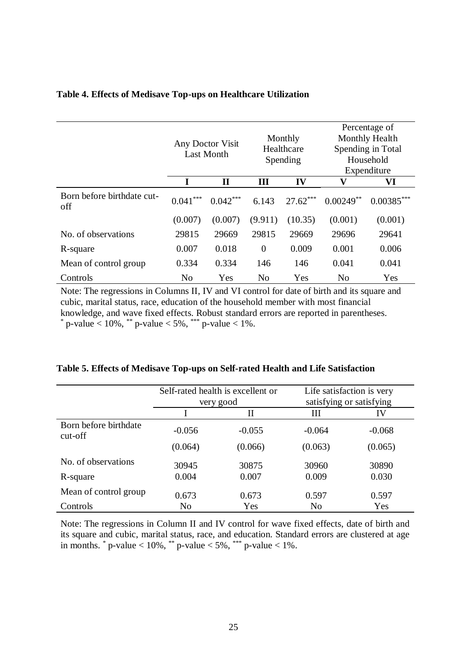|                                   | Any Doctor Visit<br><b>Last Month</b> |              | Monthly<br>Healthcare<br>Spending |            | Percentage of<br>Monthly Health<br>Spending in Total<br>Household |              |
|-----------------------------------|---------------------------------------|--------------|-----------------------------------|------------|-------------------------------------------------------------------|--------------|
|                                   |                                       |              |                                   |            | Expenditure                                                       |              |
|                                   |                                       | $\mathbf{I}$ | Ш                                 | IV         | $\mathbf{V}$                                                      | VI           |
| Born before birthdate cut-<br>off | ***<br>0.041                          | $0.042***$   | 6.143                             | $27.62***$ | $0.00249**$                                                       | $0.00385***$ |
|                                   | (0.007)                               | (0.007)      | (9.911)                           | (10.35)    | (0.001)                                                           | (0.001)      |
| No. of observations               | 29815                                 | 29669        | 29815                             | 29669      | 29696                                                             | 29641        |
| R-square                          | 0.007                                 | 0.018        | $\theta$                          | 0.009      | 0.001                                                             | 0.006        |
| Mean of control group             | 0.334                                 | 0.334        | 146                               | 146        | 0.041                                                             | 0.041        |
| Controls                          | N <sub>o</sub>                        | Yes          | N <sub>o</sub>                    | Yes        | N <sub>0</sub>                                                    | Yes          |

# **Table 4. Effects of Medisave Top-ups on Healthcare Utilization**

Note: The regressions in Columns II, IV and VI control for date of birth and its square and cubic, marital status, race, education of the household member with most financial knowledge, and wave fixed effects. Robust standard errors are reported in parentheses. \* p-value  $< 10\%$ , \*\* p-value  $< 5\%$ , \*\*\* p-value  $< 1\%$ .

|                                    | Self-rated health is excellent or<br>very good |             | Life satisfaction is very<br>satisfying or satisfying |          |
|------------------------------------|------------------------------------------------|-------------|-------------------------------------------------------|----------|
|                                    |                                                | $_{\rm II}$ | Ш                                                     | IV       |
| Born before birthdate<br>$cut-off$ | $-0.056$                                       | $-0.055$    | $-0.064$                                              | $-0.068$ |
|                                    | (0.064)                                        | (0.066)     | (0.063)                                               | (0.065)  |
| No. of observations                | 30945                                          | 30875       | 30960                                                 | 30890    |
| R-square                           | 0.004                                          | 0.007       | 0.009                                                 | 0.030    |
| Mean of control group              | 0.673                                          | 0.673       | 0.597                                                 | 0.597    |
| Controls                           | N <sub>o</sub>                                 | Yes         | N <sub>o</sub>                                        | Yes      |

|  |  |  | Table 5. Effects of Medisave Top-ups on Self-rated Health and Life Satisfaction |
|--|--|--|---------------------------------------------------------------------------------|
|  |  |  |                                                                                 |

Note: The regressions in Column II and IV control for wave fixed effects, date of birth and its square and cubic, marital status, race, and education. Standard errors are clustered at age in months.  $*$  p-value  $< 10\%$ ,  $**$  p-value  $< 5\%$ ,  $***$  p-value  $< 1\%$ .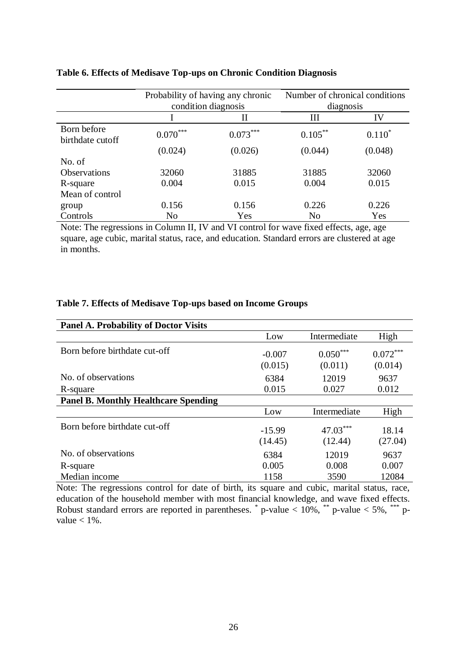|                                 | Probability of having any chronic<br>condition diagnosis |            | Number of chronical conditions<br>diagnosis |          |
|---------------------------------|----------------------------------------------------------|------------|---------------------------------------------|----------|
|                                 |                                                          | П          | Ш                                           | IV       |
| Born before<br>birthdate cutoff | $0.070***$                                               | $0.073***$ | $0.105***$                                  | $0.110*$ |
|                                 | (0.024)                                                  | (0.026)    | (0.044)                                     | (0.048)  |
| No. of                          |                                                          |            |                                             |          |
| <b>Observations</b>             | 32060                                                    | 31885      | 31885                                       | 32060    |
| R-square                        | 0.004                                                    | 0.015      | 0.004                                       | 0.015    |
| Mean of control                 |                                                          |            |                                             |          |
| group                           | 0.156                                                    | 0.156      | 0.226                                       | 0.226    |
| Controls                        | N <sub>0</sub>                                           | Yes        | N <sub>0</sub>                              | Yes      |

# **Table 6. Effects of Medisave Top-ups on Chronic Condition Diagnosis**

Note: The regressions in Column II, IV and VI control for wave fixed effects, age, age square, age cubic, marital status, race, and education. Standard errors are clustered at age in months.

# **Table 7. Effects of Medisave Top-ups based on Income Groups**

| <b>Panel A. Probability of Doctor Visits</b> |                     |                       |                       |
|----------------------------------------------|---------------------|-----------------------|-----------------------|
|                                              | Low                 | Intermediate          | High                  |
| Born before birthdate cut-off                | $-0.007$<br>(0.015) | $0.050***$<br>(0.011) | $0.072***$<br>(0.014) |
| No. of observations                          | 6384                | 12019                 | 9637                  |
| R-square                                     | 0.015               | 0.027                 | 0.012                 |
| <b>Panel B. Monthly Healthcare Spending</b>  |                     |                       |                       |
|                                              | Low                 | Intermediate          | High                  |
| Born before birthdate cut-off                | $-15.99$<br>(14.45) | 47.03***<br>(12.44)   | 18.14<br>(27.04)      |
| No. of observations                          | 6384                | 12019                 | 9637                  |
| R-square                                     | 0.005               | 0.008                 | 0.007                 |
| Median income                                | 1158                | 3590                  | 12084                 |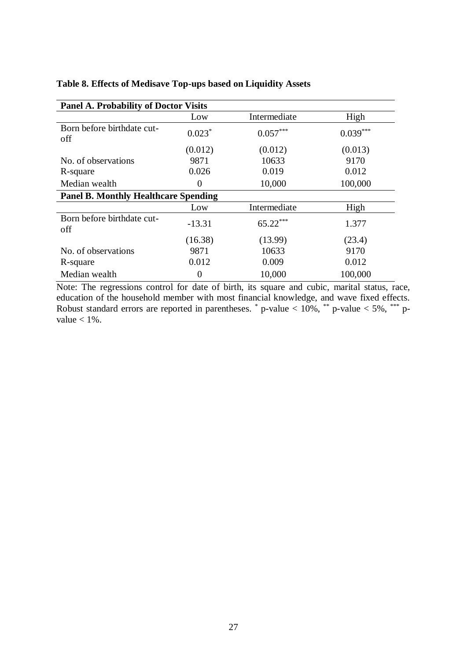| <b>Panel A. Probability of Doctor Visits</b> |          |              |            |  |  |
|----------------------------------------------|----------|--------------|------------|--|--|
|                                              | Low      | Intermediate | High       |  |  |
| Born before birthdate cut-<br>off            | $0.023*$ | $0.057***$   | $0.039***$ |  |  |
|                                              | (0.012)  | (0.012)      | (0.013)    |  |  |
| No. of observations                          | 9871     | 10633        | 9170       |  |  |
| R-square                                     | 0.026    | 0.019        | 0.012      |  |  |
| Median wealth                                | $\Omega$ | 10,000       | 100,000    |  |  |
| <b>Panel B. Monthly Healthcare Spending</b>  |          |              |            |  |  |
|                                              | Low      | Intermediate | High       |  |  |
| Born before birthdate cut-<br>off            | $-13.31$ | $65.22***$   | 1.377      |  |  |
|                                              | (16.38)  | (13.99)      | (23.4)     |  |  |
| No. of observations                          | 9871     | 10633        | 9170       |  |  |
| R-square                                     | 0.012    | 0.009        | 0.012      |  |  |
| Median wealth                                | 0        | 10,000       | 100,000    |  |  |

#### **Table 8. Effects of Medisave Top-ups based on Liquidity Assets**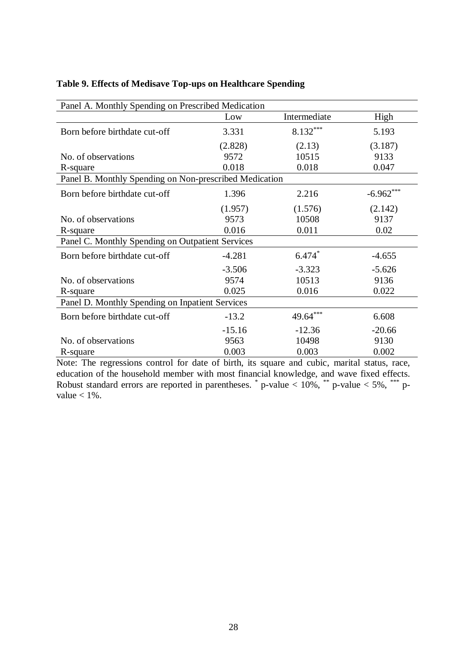| Panel A. Monthly Spending on Prescribed Medication     |          |              |             |  |  |
|--------------------------------------------------------|----------|--------------|-------------|--|--|
|                                                        | Low      | Intermediate | High        |  |  |
| Born before birthdate cut-off                          | 3.331    | $8.132***$   | 5.193       |  |  |
|                                                        | (2.828)  | (2.13)       | (3.187)     |  |  |
| No. of observations                                    | 9572     | 10515        | 9133        |  |  |
| R-square                                               | 0.018    | 0.018        | 0.047       |  |  |
| Panel B. Monthly Spending on Non-prescribed Medication |          |              |             |  |  |
| Born before birthdate cut-off                          | 1.396    | 2.216        | $-6.962***$ |  |  |
|                                                        | (1.957)  | (1.576)      | (2.142)     |  |  |
| No. of observations                                    | 9573     | 10508        | 9137        |  |  |
| R-square                                               | 0.016    | 0.011        | 0.02        |  |  |
| Panel C. Monthly Spending on Outpatient Services       |          |              |             |  |  |
| Born before birthdate cut-off                          | $-4.281$ | $6.474*$     | $-4.655$    |  |  |
|                                                        | $-3.506$ | $-3.323$     | $-5.626$    |  |  |
| No. of observations                                    | 9574     | 10513        | 9136        |  |  |
| R-square                                               | 0.025    | 0.016        | 0.022       |  |  |
| Panel D. Monthly Spending on Inpatient Services        |          |              |             |  |  |
| Born before birthdate cut-off                          | $-13.2$  | 49.64***     | 6.608       |  |  |
|                                                        | $-15.16$ | $-12.36$     | $-20.66$    |  |  |
| No. of observations                                    | 9563     | 10498        | 9130        |  |  |
| R-square                                               | 0.003    | 0.003        | 0.002       |  |  |

# **Table 9. Effects of Medisave Top-ups on Healthcare Spending**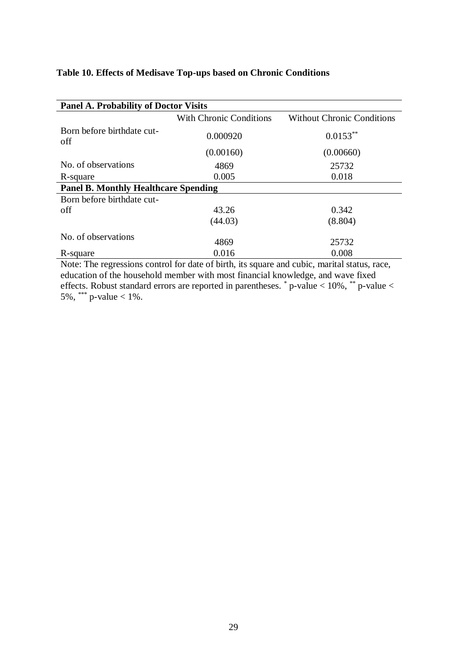# **Table 10. Effects of Medisave Top-ups based on Chronic Conditions**

| <b>Panel A. Probability of Doctor Visits</b> |                                |                                   |  |  |  |
|----------------------------------------------|--------------------------------|-----------------------------------|--|--|--|
|                                              | <b>With Chronic Conditions</b> | <b>Without Chronic Conditions</b> |  |  |  |
| Born before birthdate cut-<br>off            | 0.000920                       | $0.0153***$                       |  |  |  |
|                                              | (0.00160)                      | (0.00660)                         |  |  |  |
| No. of observations                          | 4869                           | 25732                             |  |  |  |
| R-square                                     | 0.005                          | 0.018                             |  |  |  |
| <b>Panel B. Monthly Healthcare Spending</b>  |                                |                                   |  |  |  |
| Born before birthdate cut-                   |                                |                                   |  |  |  |
| off                                          | 43.26                          | 0.342                             |  |  |  |
|                                              | (44.03)                        | (8.804)                           |  |  |  |
| No. of observations                          | 4869                           | 25732                             |  |  |  |
| R-square                                     | 0.016                          | 0.008                             |  |  |  |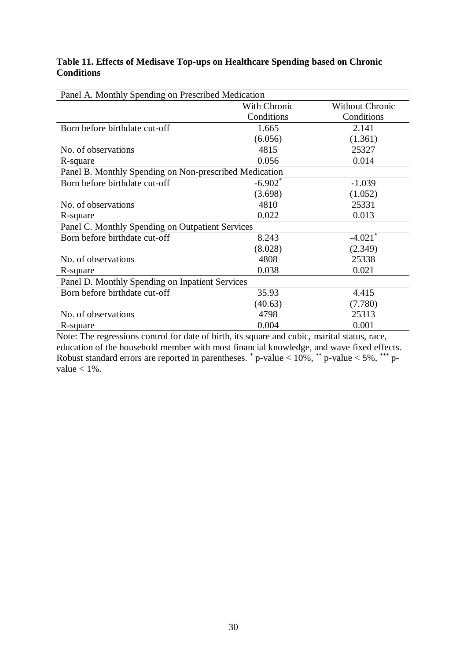#### **Table 11. Effects of Medisave Top-ups on Healthcare Spending based on Chronic Conditions**

| Panel A. Monthly Spending on Prescribed Medication     |              |                        |  |  |
|--------------------------------------------------------|--------------|------------------------|--|--|
|                                                        | With Chronic | <b>Without Chronic</b> |  |  |
|                                                        | Conditions   | Conditions             |  |  |
| Born before birthdate cut-off                          | 1.665        | 2.141                  |  |  |
|                                                        | (6.056)      | (1.361)                |  |  |
| No. of observations                                    | 4815         | 25327                  |  |  |
| R-square                                               | 0.056        | 0.014                  |  |  |
| Panel B. Monthly Spending on Non-prescribed Medication |              |                        |  |  |
| Born before birthdate cut-off                          | $-6.902*$    | $-1.039$               |  |  |
|                                                        | (3.698)      | (1.052)                |  |  |
| No. of observations                                    | 4810         | 25331                  |  |  |
| R-square                                               | 0.022        | 0.013                  |  |  |
| Panel C. Monthly Spending on Outpatient Services       |              |                        |  |  |
| Born before birthdate cut-off                          | 8.243        | $-4.021$ <sup>*</sup>  |  |  |
|                                                        | (8.028)      | (2.349)                |  |  |
| No. of observations                                    | 4808         | 25338                  |  |  |
| R-square                                               | 0.038        | 0.021                  |  |  |
| Panel D. Monthly Spending on Inpatient Services        |              |                        |  |  |
| Born before birthdate cut-off                          | 35.93        | 4.415                  |  |  |
|                                                        | (40.63)      | (7.780)                |  |  |
| No. of observations                                    | 4798         | 25313                  |  |  |
| R-square                                               | 0.004        | 0.001                  |  |  |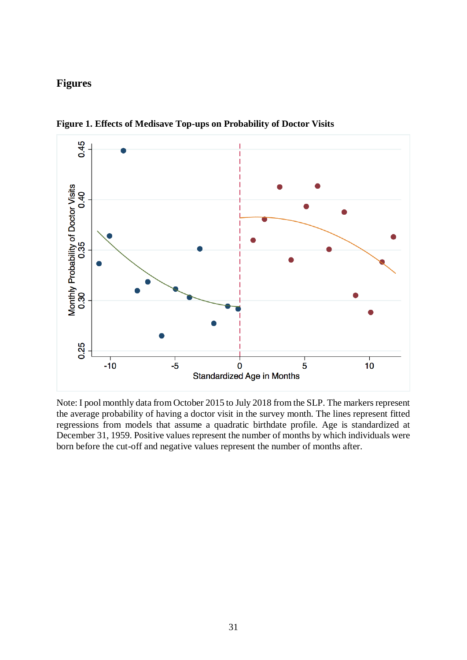# **Figures**



**Figure 1. Effects of Medisave Top-ups on Probability of Doctor Visits**

Note: I pool monthly data from October 2015 to July 2018 from the SLP. The markers represent the average probability of having a doctor visit in the survey month. The lines represent fitted regressions from models that assume a quadratic birthdate profile. Age is standardized at December 31, 1959. Positive values represent the number of months by which individuals were born before the cut-off and negative values represent the number of months after.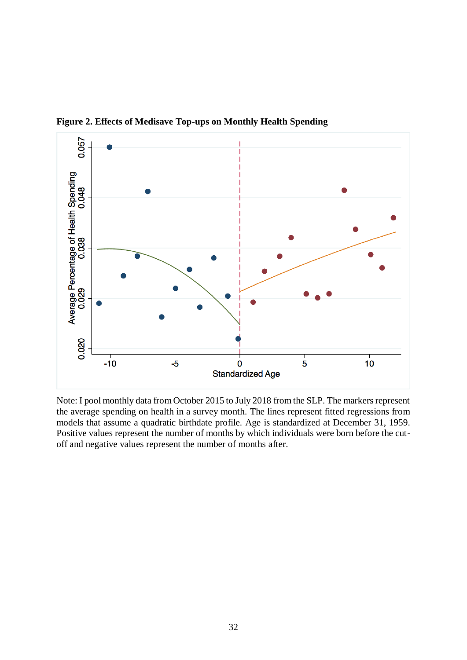

**Figure 2. Effects of Medisave Top-ups on Monthly Health Spending**

Note: I pool monthly data from October 2015 to July 2018 from the SLP. The markers represent the average spending on health in a survey month. The lines represent fitted regressions from models that assume a quadratic birthdate profile. Age is standardized at December 31, 1959. Positive values represent the number of months by which individuals were born before the cutoff and negative values represent the number of months after.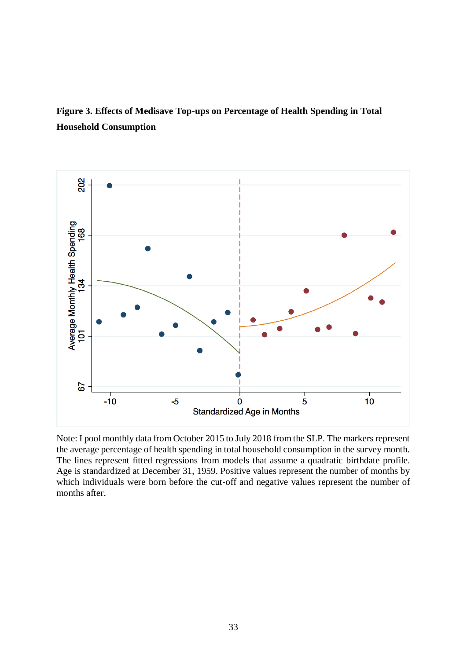**Figure 3. Effects of Medisave Top-ups on Percentage of Health Spending in Total Household Consumption**



Note: I pool monthly data from October 2015 to July 2018 from the SLP. The markers represent the average percentage of health spending in total household consumption in the survey month. The lines represent fitted regressions from models that assume a quadratic birthdate profile. Age is standardized at December 31, 1959. Positive values represent the number of months by which individuals were born before the cut-off and negative values represent the number of months after.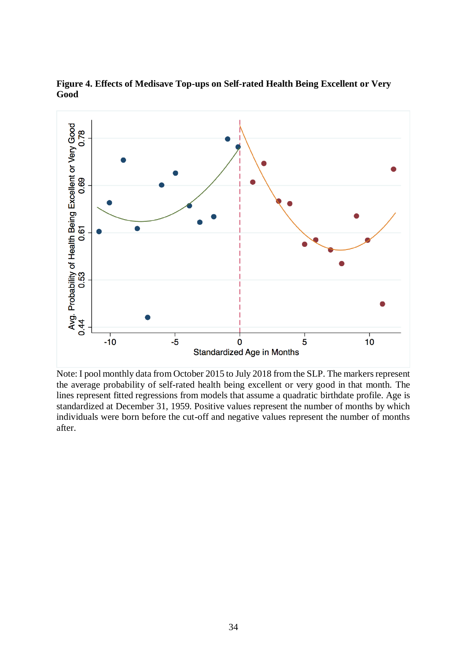

**Figure 4. Effects of Medisave Top-ups on Self-rated Health Being Excellent or Very Good**

Note: I pool monthly data from October 2015 to July 2018 from the SLP. The markers represent the average probability of self-rated health being excellent or very good in that month. The lines represent fitted regressions from models that assume a quadratic birthdate profile. Age is standardized at December 31, 1959. Positive values represent the number of months by which individuals were born before the cut-off and negative values represent the number of months after.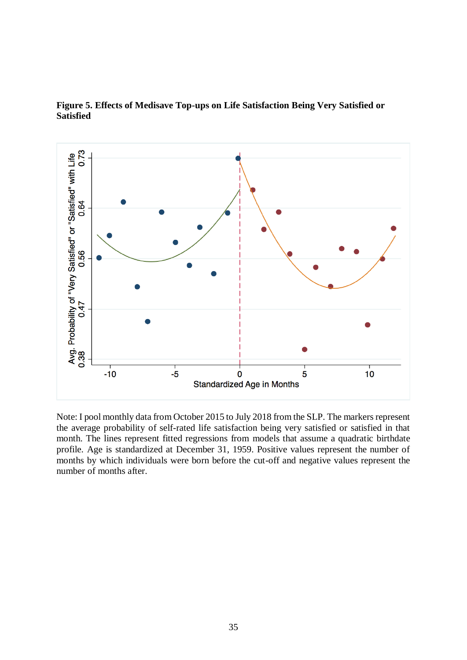

**Figure 5. Effects of Medisave Top-ups on Life Satisfaction Being Very Satisfied or Satisfied**

Note: I pool monthly data from October 2015 to July 2018 from the SLP. The markers represent the average probability of self-rated life satisfaction being very satisfied or satisfied in that month. The lines represent fitted regressions from models that assume a quadratic birthdate profile. Age is standardized at December 31, 1959. Positive values represent the number of months by which individuals were born before the cut-off and negative values represent the number of months after.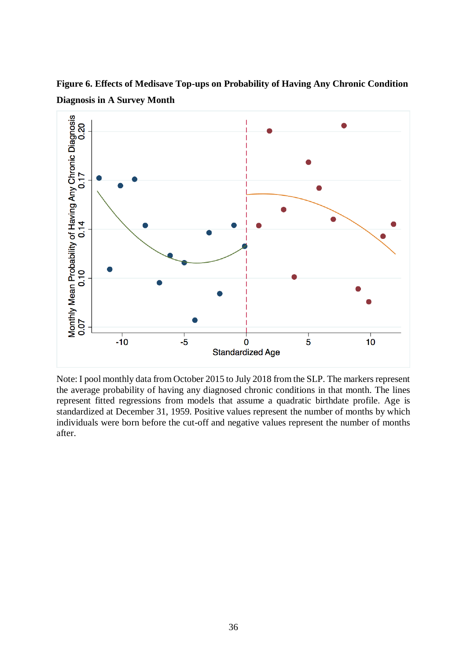**Figure 6. Effects of Medisave Top-ups on Probability of Having Any Chronic Condition Diagnosis in A Survey Month**



Note: I pool monthly data from October 2015 to July 2018 from the SLP. The markers represent the average probability of having any diagnosed chronic conditions in that month. The lines represent fitted regressions from models that assume a quadratic birthdate profile. Age is standardized at December 31, 1959. Positive values represent the number of months by which individuals were born before the cut-off and negative values represent the number of months after.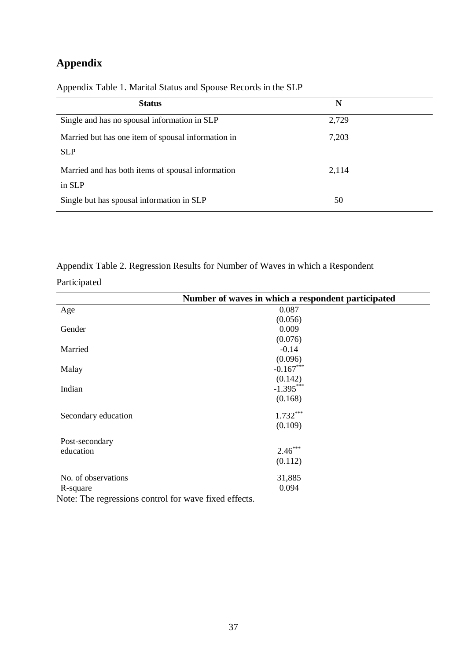# **Appendix**

| <b>Status</b>                                      | N     |  |
|----------------------------------------------------|-------|--|
| Single and has no spousal information in SLP       | 2,729 |  |
| Married but has one item of spousal information in | 7,203 |  |
| <b>SLP</b>                                         |       |  |
| Married and has both items of spousal information  | 2,114 |  |
| in SLP                                             |       |  |
| Single but has spousal information in SLP          | 50    |  |

Appendix Table 1. Marital Status and Spouse Records in the SLP

Appendix Table 2. Regression Results for Number of Waves in which a Respondent Participated

|                     | Number of waves in which a respondent participated |
|---------------------|----------------------------------------------------|
| Age                 | 0.087                                              |
|                     | (0.056)                                            |
| Gender              | 0.009                                              |
|                     | (0.076)                                            |
| Married             | $-0.14$                                            |
|                     | (0.096)                                            |
| Malay               | $-0.167***$                                        |
|                     | (0.142)                                            |
| Indian              | $-1.395***$                                        |
|                     | (0.168)                                            |
| Secondary education | $1.732***$                                         |
|                     | (0.109)                                            |
| Post-secondary      |                                                    |
| education           | $2.46***$                                          |
|                     | (0.112)                                            |
| No. of observations | 31,885                                             |
| R-square            | 0.094                                              |

Note: The regressions control for wave fixed effects.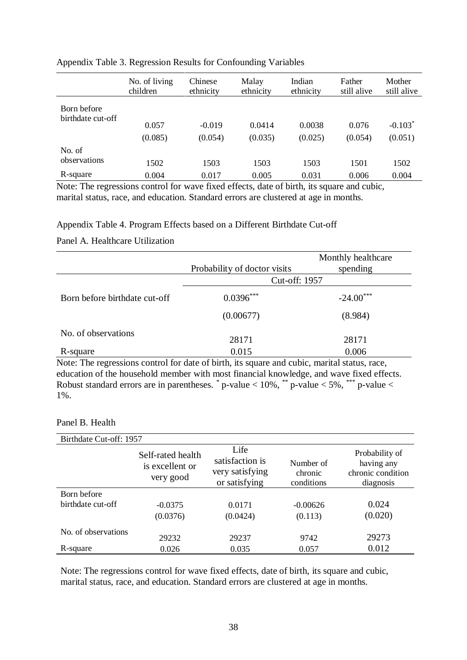|                                  | No. of living<br>children | Chinese<br>ethnicity | Malay<br>ethnicity | Indian<br>ethnicity | Father<br>still alive | Mother<br>still alive |
|----------------------------------|---------------------------|----------------------|--------------------|---------------------|-----------------------|-----------------------|
| Born before<br>birthdate cut-off |                           |                      |                    |                     |                       |                       |
|                                  | 0.057                     | $-0.019$             | 0.0414             | 0.0038              | 0.076                 | $-0.103*$             |
|                                  | (0.085)                   | (0.054)              | (0.035)            | (0.025)             | (0.054)               | (0.051)               |
| No. of                           |                           |                      |                    |                     |                       |                       |
| observations                     | 1502                      | 1503                 | 1503               | 1503                | 1501                  | 1502                  |
| R-square                         | 0.004                     | 0.017                | 0.005              | 0.031               | 0.006                 | 0.004                 |

#### Appendix Table 3. Regression Results for Confounding Variables

Note: The regressions control for wave fixed effects, date of birth, its square and cubic, marital status, race, and education. Standard errors are clustered at age in months.

# Appendix Table 4. Program Effects based on a Different Birthdate Cut-off

# Panel A. Healthcare Utilization

|                               | Probability of doctor visits | Monthly healthcare<br>spending |  |  |
|-------------------------------|------------------------------|--------------------------------|--|--|
|                               | Cut-off: 1957                |                                |  |  |
| Born before birthdate cut-off | $0.0396***$                  | $-24.00***$                    |  |  |
|                               | (0.00677)                    | (8.984)                        |  |  |
| No. of observations           |                              |                                |  |  |
|                               | 28171                        | 28171                          |  |  |
| R-square                      | 0.015                        | 0.006                          |  |  |

Note: The regressions control for date of birth, its square and cubic, marital status, race, education of the household member with most financial knowledge, and wave fixed effects. Robust standard errors are in parentheses.  $*$  p-value  $< 10\%$ ,  $*$  p-value  $< 5\%$ ,  $***$  p-value  $<$ 1%.

#### Panel B. Health

| Birthdate Cut-off: 1957 |                                                   |                                                             |                                    |                                                                |  |
|-------------------------|---------------------------------------------------|-------------------------------------------------------------|------------------------------------|----------------------------------------------------------------|--|
|                         | Self-rated health<br>is excellent or<br>very good | Life<br>satisfaction is<br>very satisfying<br>or satisfying | Number of<br>chronic<br>conditions | Probability of<br>having any<br>chronic condition<br>diagnosis |  |
| Born before             |                                                   |                                                             |                                    |                                                                |  |
| birthdate cut-off       | $-0.0375$                                         | 0.0171                                                      | $-0.00626$                         | 0.024                                                          |  |
|                         | (0.0376)                                          | (0.0424)                                                    | (0.113)                            | (0.020)                                                        |  |
| No. of observations     | 29232                                             | 29237                                                       | 9742                               | 29273                                                          |  |
| R-square                | 0.026                                             | 0.035                                                       | 0.057                              | 0.012                                                          |  |

Note: The regressions control for wave fixed effects, date of birth, its square and cubic, marital status, race, and education. Standard errors are clustered at age in months.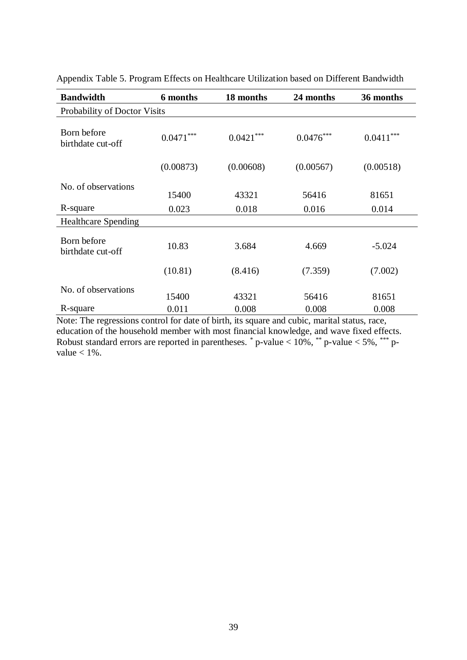| <b>Bandwidth</b>                 | 6 months    | 18 months   | 24 months   | 36 months     |  |  |
|----------------------------------|-------------|-------------|-------------|---------------|--|--|
| Probability of Doctor Visits     |             |             |             |               |  |  |
| Born before<br>birthdate cut-off | $0.0471***$ | $0.0421***$ | $0.0476***$ | ***<br>0.0411 |  |  |
|                                  | (0.00873)   | (0.00608)   | (0.00567)   | (0.00518)     |  |  |
| No. of observations              | 15400       | 43321       | 56416       | 81651         |  |  |
| R-square                         | 0.023       | 0.018       | 0.016       | 0.014         |  |  |
| <b>Healthcare Spending</b>       |             |             |             |               |  |  |
| Born before<br>birthdate cut-off | 10.83       | 3.684       | 4.669       | $-5.024$      |  |  |
|                                  | (10.81)     | (8.416)     | (7.359)     | (7.002)       |  |  |
| No. of observations              | 15400       | 43321       | 56416       | 81651         |  |  |
| R-square                         | 0.011       | 0.008       | 0.008       | 0.008         |  |  |

Appendix Table 5. Program Effects on Healthcare Utilization based on Different Bandwidth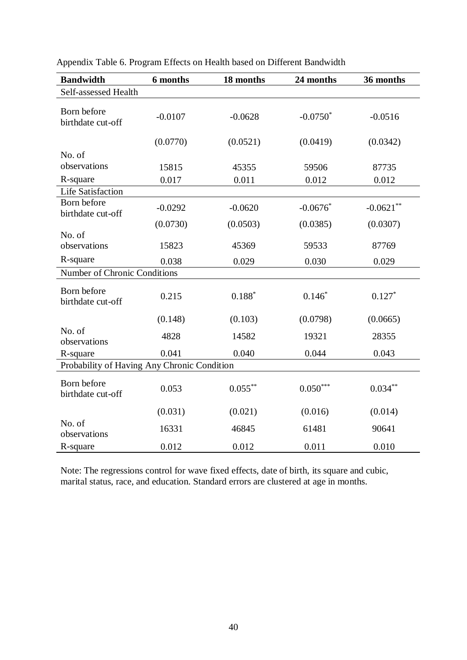| <b>Bandwidth</b>                            | 6 months  | 18 months  | 24 months   | 36 months    |  |
|---------------------------------------------|-----------|------------|-------------|--------------|--|
| Self-assessed Health                        |           |            |             |              |  |
| Born before<br>birthdate cut-off            | $-0.0107$ | $-0.0628$  | $-0.0750^*$ | $-0.0516$    |  |
|                                             | (0.0770)  | (0.0521)   | (0.0419)    | (0.0342)     |  |
| No. of                                      |           |            |             |              |  |
| observations                                | 15815     | 45355      | 59506       | 87735        |  |
| R-square                                    | 0.017     | 0.011      | 0.012       | 0.012        |  |
| <b>Life Satisfaction</b>                    |           |            |             |              |  |
| Born before<br>birthdate cut-off            | $-0.0292$ | $-0.0620$  | $-0.0676*$  | $-0.0621***$ |  |
|                                             | (0.0730)  | (0.0503)   | (0.0385)    | (0.0307)     |  |
| No. of<br>observations                      | 15823     | 45369      | 59533       | 87769        |  |
| R-square                                    | 0.038     | 0.029      | 0.030       | 0.029        |  |
| Number of Chronic Conditions                |           |            |             |              |  |
| Born before<br>birthdate cut-off            | 0.215     | $0.188*$   | $0.146*$    | $0.127*$     |  |
|                                             | (0.148)   | (0.103)    | (0.0798)    | (0.0665)     |  |
| No. of<br>observations                      | 4828      | 14582      | 19321       | 28355        |  |
| R-square                                    | 0.041     | 0.040      | 0.044       | 0.043        |  |
| Probability of Having Any Chronic Condition |           |            |             |              |  |
| Born before<br>birthdate cut-off            | 0.053     | $0.055***$ | $0.050***$  | $0.034***$   |  |
|                                             | (0.031)   | (0.021)    | (0.016)     | (0.014)      |  |
| No. of<br>observations                      | 16331     | 46845      | 61481       | 90641        |  |
| R-square                                    | 0.012     | 0.012      | 0.011       | 0.010        |  |

Appendix Table 6. Program Effects on Health based on Different Bandwidth

Note: The regressions control for wave fixed effects, date of birth, its square and cubic, marital status, race, and education. Standard errors are clustered at age in months.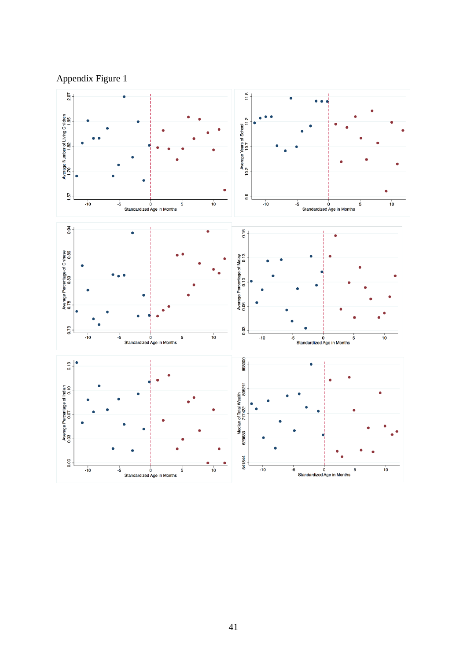Appendix Figure 1